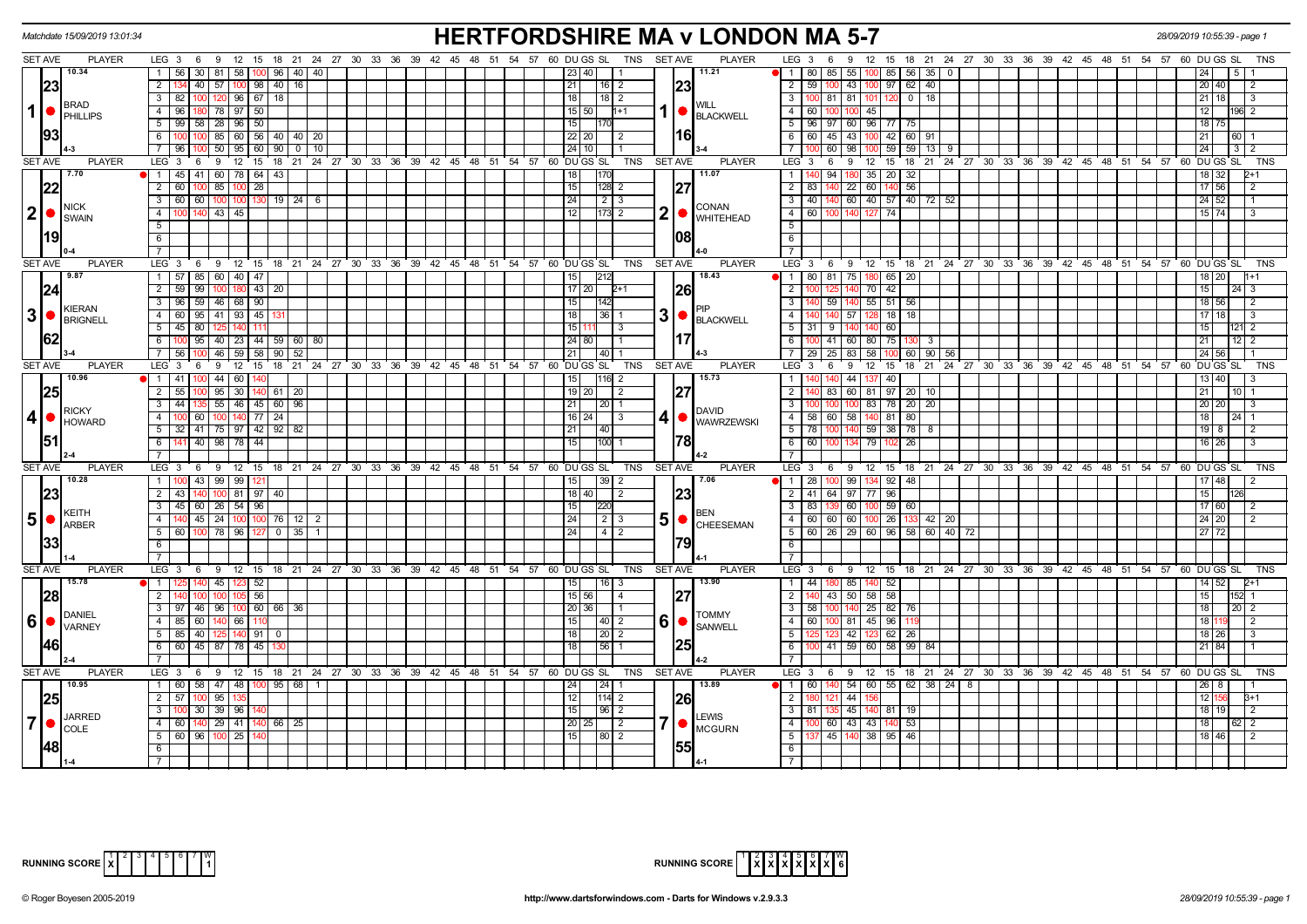|                |                              | Matchdate 15/09/2019 13:01:34                              |                                                                                    | <b>HERTFORDSHIRE MA v LONDON MA 5-7</b>                    |                                    |                         |                                                                                             | 28/09/2019 10:55:39 - page 1       |
|----------------|------------------------------|------------------------------------------------------------|------------------------------------------------------------------------------------|------------------------------------------------------------|------------------------------------|-------------------------|---------------------------------------------------------------------------------------------|------------------------------------|
|                | <b>SET AVE</b>               | <b>PLAYER</b>                                              | LEG 3 6 9 12 15 18 21 24 27 30 33 36 39 42 45 48 51 54 57 60 DUGS SL               |                                                            | TNS SET AVE                        | <b>PLAYER</b>           | 9 12 15 18 21 24 27 30 33 36 39 42 45 48 51 54 57 60 DUGS SL<br>LEG $3 \quad 6$             | TNS                                |
|                |                              | 10.34                                                      | 1 56 30 81 58 100 96 40 40                                                         |                                                            | 23   40                            | 11.21                   | 1 8 8 0<br>85   55   100   85   56   35   0                                                 |                                    |
|                | 23                           |                                                            | $\overline{2}$<br>134 40 57 100 98 40 16                                           |                                                            | 21<br>$16$   2                     | 23                      | 2   59  <br>100 43 100<br>97   62   40                                                      | 20 40<br>2                         |
|                |                              |                                                            | 3   82   100   120   96   67   18                                                  |                                                            | 18 <br>$18$   2                    |                         | 3   100   81   81   101<br>120<br>$0$ 18                                                    | $21 \overline{18}$<br><u>Тз</u>    |
|                | 1 ●                          | <b>BRAD</b>                                                | 4 96 180 78 97 50                                                                  |                                                            | $h+1$<br>15   50                   | WILL                    | $4 \mid 60$<br>100 100 45                                                                   | 12<br>1961 2                       |
|                |                              | PHILLIPS                                                   | $5 \mid 99 \mid 58 \mid 28 \mid 96 \mid 50$                                        |                                                            |                                    | <b>BLACKWELL</b>        | 5   96   97   60   96   77   75                                                             | 18 75                              |
|                | 93                           |                                                            | 100 100 85 60 56 40 40 20<br>6                                                     |                                                            | 22   20  <br>$\overline{2}$        | l16l                    | 6 6 60 45 43 100 42 60 91                                                                   | 21<br>60 1                         |
|                |                              |                                                            | 7   96   100   50   95   60   90   0   10                                          |                                                            |                                    |                         | $\frac{60}{98}$ 100 59 59 13 9<br>$7$ $\Gamma$                                              | 24                                 |
|                |                              |                                                            |                                                                                    |                                                            |                                    |                         |                                                                                             |                                    |
|                | <b>SET AVE</b>               | <b>PLAYER</b><br>7.70                                      | LEG <sup>3</sup><br>6<br>9                                                         | 12 15 18 21 24 27 30 33 36 39 42 45 48 51 54 57 60 DUGS SL | TNS<br><b>SET AVE</b>              | <b>PLAYER</b><br>11.07  | LEG <sub>3</sub><br>12 15 18 21 24 27 30 33 36 39 42 45 48 51 54 57 60 DUGS SL<br>6<br>9    | TNS                                |
|                |                              |                                                            | 1 45 41 60 78 64 43                                                                |                                                            | 170                                |                         | 94   180   35   20   32<br>1   1                                                            | 18 32                              |
|                | 22                           |                                                            | 2   60   100   85   100   28                                                       |                                                            | $128$ 2<br>15                      | 27                      | $2 \mid 83$<br>140 22 60<br>140 56                                                          | 17 56<br>2                         |
|                |                              | NICK                                                       | $3   60   60   100   100   130   19   24   6$                                      |                                                            | 24                                 | CONAN                   | $3 \mid 40 \mid$<br>140 60 40 57 40 72 52                                                   | 24 52                              |
|                | 2 •                          | <b>SWAIN</b>                                               | $\overline{4}$<br>100 140 43 45                                                    |                                                            | $173$ 2<br>l 12 l                  | $2$ $\bullet$ WHITEHEAD | 4 60<br>100 140 127 74                                                                      | 15 74                              |
|                |                              |                                                            | 5                                                                                  |                                                            |                                    |                         | 5 <sup>1</sup>                                                                              |                                    |
|                | l19l                         |                                                            | 6                                                                                  |                                                            |                                    | 108                     | 6                                                                                           |                                    |
|                |                              |                                                            |                                                                                    |                                                            |                                    |                         |                                                                                             |                                    |
|                | <b>SET AVE</b>               | <b>PLAYER</b>                                              | LEG $3 \quad 6 \quad 9$                                                            | 12 15 18 21 24 27 30 33 36 39 42 45 48 51 54 57 60 DUGS SL | TNS<br><b>SET AVE</b>              | <b>PLAYER</b>           | LEG 3<br>9 12 15 18 21 24 27 30 33 36 39 42 45 48 51 54 57 60 DUGS SL<br>6                  | <b>TNS</b>                         |
|                |                              | 9.87                                                       | 1 57 85 60 40 47                                                                   |                                                            | 212                                | 18.43                   | 1   80   81   75   180   65   20                                                            | 18 20                              |
|                | 24                           |                                                            | 2 59 99 100 180 43 20                                                              |                                                            | 17 20<br>$2+1$                     | 26                      | 2                                                                                           | 15<br>$24 \mid 3$                  |
|                |                              |                                                            | 3   96   59   46   68   90                                                         |                                                            | 15<br>1142                         |                         | 3<br>59 140<br> 55 51 56                                                                    | 18 56<br>2                         |
|                |                              | KIERAN<br>$3  \bullet  _{\text{BRIGNELL}}^{\text{KIERAN}}$ | $-4$<br>60 95 41 93 45                                                             |                                                            | 3 <sup>l</sup><br>$36$   1<br>18 I |                         | $\overline{4}$<br>$18$ 18<br>57                                                             | 17 18<br>$\mathbf{B}$              |
|                |                              |                                                            | $5 \mid 45 \mid 80 \mid$                                                           |                                                            | 1511'<br>I 3                       | BLACKWELL               | 60<br>$5 \mid 31$<br>9                                                                      | 15<br>$\mathcal{P}$                |
|                | 62                           |                                                            | 100 95 40 23 44 59 60 80<br>6 <sup>1</sup>                                         |                                                            | 24 80                              |                         | 6 100<br>75 130<br>41 60 80<br>$\mathbf{3}$                                                 | $12 \mid 2$<br>21                  |
|                |                              |                                                            | 56 100 46 59 58 90 52<br>7 <sup>1</sup>                                            |                                                            | $40$   1<br>211                    |                         | $7 \mid 29$<br>$25 \mid 83$<br>58<br>60 90 56<br>ınn                                        | 24 56                              |
|                | <b>SET AVE</b>               | <b>PLAYER</b>                                              | LEG <sub>3</sub><br>69                                                             | 12 15 18 21 24 27 30 33 36 39 42 45 48 51 54 57 60 DUGS SL | <b>SET AVE</b><br>TNS              | <b>PLAYER</b>           | LEG <sub>3</sub><br>15 18 21 24 27 30 33 36 39 42 45 48 51 54 57 60 DUGS SL<br>9<br>12<br>6 | TNS                                |
|                |                              | 10.96                                                      | $100$ 44 60<br>1 41                                                                |                                                            | $116$ 2<br>15 <sup>1</sup>         | 15.73                   | 40<br>1 I<br>44                                                                             | 13 40                              |
|                |                              |                                                            |                                                                                    |                                                            |                                    |                         | 2 <sup>1</sup><br>83 60 81 97 20 10                                                         | 21<br>10 I                         |
|                | 25                           |                                                            | $\overline{2}$<br>55 100 95 30 140 61 20                                           |                                                            | 19   20  <br>$\frac{1}{2}$         |                         |                                                                                             |                                    |
|                |                              | <b>RICKY</b>                                               | 44   135   55   46   45   60   96<br>$\overline{3}$                                |                                                            | $\sqrt{20}$ 1<br>211               | <b>DAVID</b>            | $\overline{3}$<br>$100$ 83 78 20 20<br>100 <sup>1</sup>                                     | 20<br>-3                           |
|                | 4 ●                          | <b>HOWARD</b>                                              | 100 60 100 140 77 24<br>$\overline{4}$                                             |                                                            | $\overline{3}$<br>41<br>16   24    | <b>WAWRZEWSKI</b>       | 4   58   60   58   140   81   80                                                            | 18<br>$24 \overline{1}$            |
|                |                              |                                                            | $5$ 32 41 75 97 42 92 82                                                           |                                                            | $\overline{40}$<br>21              |                         | $5 \mid 78$<br>100 140 59 38 78 8                                                           | $19$ $8$<br>- 2                    |
|                | 51                           |                                                            | 6 141 40 98 78 44                                                                  |                                                            | 1100<br>l 15 l                     | 1781                    | $6$ 60<br>100 134 79<br> 02 26                                                              | $16 \overline{\smash{)}26}$<br>- 3 |
|                |                              |                                                            | $\overline{7}$                                                                     |                                                            |                                    |                         | $\overline{7}$                                                                              |                                    |
|                | <b>SET AVE</b>               | <b>PLAYER</b>                                              | LEG <sup>3</sup><br>6 9 12 15 18 21 24 27 30 33 36 39 42 45 48 51 54 57 60 DUGS SL |                                                            | TNS<br><b>SET AVE</b>              | PLAYER                  | LEG <sub>3</sub><br>6 9 12 15 18 21 24 27 30 33 36 39 42 45 48 51 54 57 60 DUGS SL          | TNS                                |
|                |                              | 10.28                                                      | 1 100 43 99 99 121                                                                 |                                                            | 15 <br> 39 2                       | 7.06                    | 100 99 134 92 48<br>$1 \mid 28 \mid$                                                        | 17 48<br>2                         |
|                | 23                           |                                                            | 2 43 140 100 81 97 40                                                              |                                                            | 18   40 <br>$\vert$ 2              |                         | $-96$<br>2 41 64 97 77                                                                      | 15<br>126                          |
|                |                              | KEITH                                                      | 3   45   60   26   54   96                                                         |                                                            | 220<br>15                          | <b>BEN</b>              | $3 \mid 83 \mid$<br>139 60 100 59 60                                                        | 17 60<br>$\overline{2}$            |
| 5              | $\bullet$                    | ARBER                                                      | 4 140 45 24 100 100 76 12 2                                                        |                                                            | 2 3<br> 24                         | $5$ $\circ$ CHEESEMAN   | 4 60 60 60 100 26 133 42 20                                                                 | 24 20<br>$\overline{2}$            |
|                |                              |                                                            | 5 60 100 78 96 127 0 35 1                                                          |                                                            | 241<br>  4   2                     |                         | 5 60 26 29 60 96 58 60 40 72                                                                | 27172                              |
|                |                              |                                                            | 6                                                                                  |                                                            |                                    |                         | 6                                                                                           |                                    |
|                |                              |                                                            | $\overline{\phantom{a}}$                                                           |                                                            |                                    |                         | <b>7</b>                                                                                    |                                    |
|                | <b>SET AVE</b>               | <b>PLAYER</b>                                              | LEG 3 6 9 12 15 18 21 24 27 30 33 36 39 42 45 48 51 54 57 60 DUGSSL                |                                                            | TNS<br><b>SET AVE</b>              | <b>PLAYER</b>           | LEG <sup>3</sup><br>6 9 12 15 18 21 24 27 30 33 36 39 42 45 48 51 54 57 60 DUGS SL          | TNS                                |
|                |                              | 15.78                                                      | 140 45 123 52<br>$\bullet$ 1 125                                                   |                                                            | 15<br>$\sqrt{16}$ 3                | 13.90                   | $1 \mid 44$<br>180 85 140 52                                                                | $14 \overline{)52}$<br>$2+1$       |
|                | <b>28</b>                    |                                                            | $105$ 56<br>$\overline{2}$<br>100                                                  |                                                            | 15 56<br>$\overline{14}$           | 27                      | 43 50 58 58<br>$2$ T                                                                        | 15<br>152 1                        |
|                |                              |                                                            | 3 97 46 96 100 60 66 36                                                            |                                                            | 20 36                              |                         | 100 140 25 82 76<br>$3 \mid 58$                                                             | 18<br>20 2                         |
| 6 <sup>1</sup> | $\bigcirc$ $\bigcirc$ VARNEY | DANIEL                                                     | 4 85 60 140 66 110                                                                 |                                                            | 6 <sup>1</sup><br>  40   2         | <b>TOMMY</b>            | $4 \mid 60 \mid$<br>96<br>100 81 45                                                         | 18<br>2                            |
|                |                              |                                                            | $5 \ 85 \ 40$<br>$140$ 91 0<br>125                                                 |                                                            | $\left  20 \right $ 2<br>18        | <b>SANWELL</b>          | $62 \mid 26$<br>5 <sub>1</sub><br>42 123                                                    | 18 26<br>$\mathbf{3}$              |
|                | 1461                         |                                                            | 6 6 60 45 87 78 45                                                                 |                                                            | 56 1                               | 1251                    | 59 60<br>58 99 84<br>6<br>41                                                                | 21 84                              |
|                |                              |                                                            | 7                                                                                  |                                                            |                                    |                         | 7                                                                                           |                                    |
|                | <b>SET AVE</b>               | <b>PLAYER</b>                                              | LEG 3 6 9 12 15 18 21 24 27 30 33 36 39 42 45 48 51 54 57 60 DUGS SL               |                                                            | TNS<br><b>SET AVE</b>              | <b>PLAYER</b>           | LEG 3<br>6 9 12 15 18 21 24 27 30 33 36 39 42 45 48 51 54 57 60 DUGS SL                     | TNS                                |
|                |                              | 10.95                                                      | 1 60 58 47 48 100 95 68                                                            |                                                            | $\sqrt{24}$ 1                      | 13.89                   | 140 54 60 55 62 38 24 8<br>1 60                                                             | $26 \mid 8 \mid$                   |
|                |                              |                                                            | 2 57 100 95 13                                                                     |                                                            | $114$ 2<br>12                      |                         | 211<br>121 44 1                                                                             | 12 <sub>1</sub>                    |
|                | 25                           |                                                            | $\overline{3}$<br>30 39 96                                                         |                                                            | $\sqrt{96}$ 2<br>15 I              | 26                      | 45 140 81 19<br>3   81<br>135.                                                              | 18 <sup>1</sup><br>19<br>2         |
|                | 7 ●                          | <b>JARRED</b>                                              |                                                                                    |                                                            |                                    | <b>LEWIS</b>            | $4 \mid 1$                                                                                  | 18                                 |
|                |                              | <b>COLE</b>                                                | 4 60 140 29 41 140 66 25                                                           |                                                            | $\overline{2}$<br>20 25            | <b>MCGURN</b>           | 60 43 43<br>$140$ 53                                                                        | $62 \mid 2$                        |
|                | <b>148</b>                   |                                                            | $5 \mid 60 \mid 96 \mid 100 \mid 25 \mid 140$                                      |                                                            | 80 2<br> 15                        | 155                     | 5   137   45   140   38   95   46                                                           | 18 46<br>$\vert$ 2                 |
|                |                              |                                                            | 6                                                                                  |                                                            |                                    |                         | 6                                                                                           |                                    |
|                |                              |                                                            | $\overline{7}$                                                                     |                                                            |                                    |                         | 7 <sup>1</sup>                                                                              |                                    |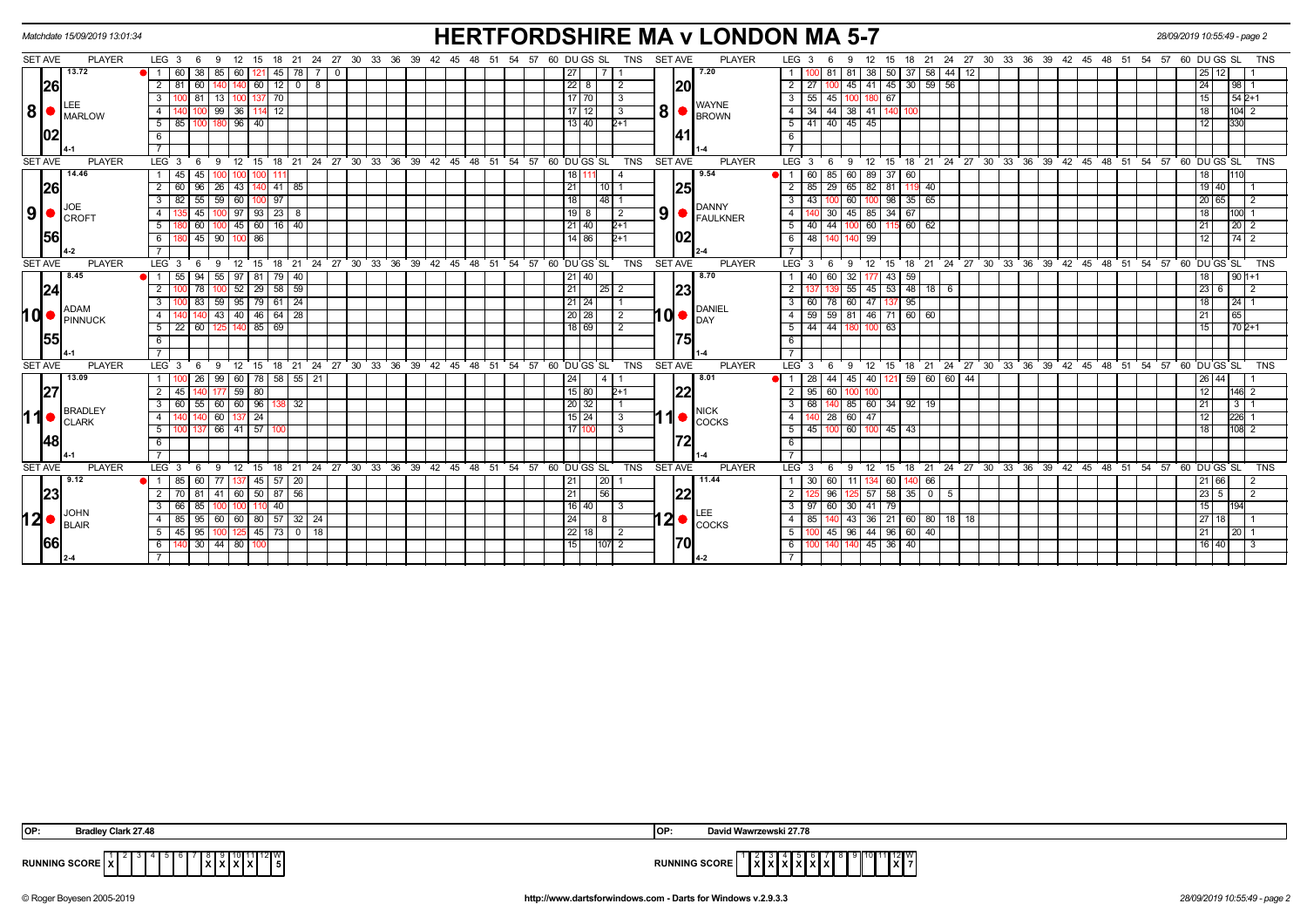| Matchdate 15/09/2019 13:01:34                                                                                                                                  | <b>HERTFORDSHIRE MA v LONDON MA 5-7</b>                                                               | 28/09/2019 10:55:49 - page 2                                                                                                                                           |
|----------------------------------------------------------------------------------------------------------------------------------------------------------------|-------------------------------------------------------------------------------------------------------|------------------------------------------------------------------------------------------------------------------------------------------------------------------------|
| 24 27 30 33 36 39 42 45 48 51<br>SET AVE<br><b>PLAYER</b><br>LEG <sub>3</sub><br>18 21<br>12<br>15<br>- 9<br>- 6                                               | 54 57 60 DU GS SL<br><b>TNS</b><br><b>SET AVE</b><br><b>PLAYER</b>                                    | LEG <sub>3</sub><br>18 21 24 27 30 33 36 39 42 45 48 51 54 57 60 DU GS SL<br><b>TNS</b><br>12<br>15<br>6<br>9                                                          |
| 13.72<br>38<br>85<br>45<br>$\overline{1}$<br>-60 I<br>60  <br>$\mathbf{0}$<br>78<br> 26 <br>12<br>$\overline{2}$<br>60<br>60<br>-81<br>$\mathbf{0}$<br>8       | 7.20<br>27<br> 20<br> 22 8<br>$\overline{2}$                                                          | 50 37 58 44<br>38<br>81<br>- 12<br>-81<br>25<br>12 I<br>45<br>$59$ 56<br>$2 \mid 27$<br>30 <sup>1</sup><br>45<br>24<br>98<br>41                                        |
| 70 <br>3<br>81<br>13<br>1371                                                                                                                                   | 17 70<br>l 3                                                                                          | $3 \mid 55$<br>$542+1$<br>15<br>45<br>100 180 67                                                                                                                       |
| $ 8 $ $\bullet$ $ _{\text{MARLOW}}$<br>12<br>99<br>36<br>4                                                                                                     | <b>WAYNE</b><br>17 12 <br>-3                                                                          | 44<br>34<br>4 I<br>38 41<br>18<br>104                                                                                                                                  |
| 5<br>100 180 96 40<br>-85 I                                                                                                                                    | $13$ 40<br>$2+1$                                                                                      | 5 41 40 45 45<br>330<br>12                                                                                                                                             |
| 102<br>6                                                                                                                                                       | 141                                                                                                   | 6                                                                                                                                                                      |
|                                                                                                                                                                |                                                                                                       |                                                                                                                                                                        |
| <b>SET AVE</b><br><b>PLAYER</b><br>12<br>$^{\circ}$ 15<br>LEG <sub>3</sub><br>9<br>- 6                                                                         | 18 21 24 27 30 33 36 39 42 45 48 51 54 57 60 DUGS SL<br><b>TNS</b><br><b>SET AVE</b><br><b>PLAYER</b> | 18 21 24 27 30 33 36 39 42 45 48 51 54 57 60 DUGS SL<br>LEG <sup>3</sup><br>12<br><b>TNS</b><br>9<br>15<br>6                                                           |
| 14.46<br>45<br>45<br>$\mathbf{1}$                                                                                                                              | 9.54<br>18 1<br>4                                                                                     | 89<br>$37$ 60<br>$\overline{1}$<br>60<br>85<br>60<br>18<br>110                                                                                                         |
| 26 <br>$\overline{2}$<br>26<br>$41$   85<br>-60<br>96<br>43<br>82                                                                                              | 25 <br>21<br>10 I 1<br>48                                                                             | 85<br>29<br>65<br>82<br>81<br>$19$ 40<br>119 40<br>43                                                                                                                  |
| 59<br>97<br>55<br>60<br>3<br>9<br>23<br>45<br>97<br>  93  <br>$\overline{4}$<br>8                                                                              | 18<br><b>DANNY</b><br>$19$ 8<br>$\vert$ 2                                                             | 98<br>60<br>35<br>65<br>65<br>3 <sup>1</sup><br>20  <br>30<br>45 85 34 67<br>18<br>4 I<br><b>1001</b>                                                                  |
| <b>CROFT</b><br>16<br>5<br>45<br>60<br>40<br>60                                                                                                                | $\left  9 \right $ $\bullet$ $\left  \frac{\text{VANIN}}{\text{FAULKNER}} \right $<br>$2+1$<br>21 40  | 44<br>60<br>5 I<br>$115$ 60<br>40<br>62<br>21<br>$20 \mid 2$                                                                                                           |
| 1561<br>6<br>45 90<br>$100$ 86                                                                                                                                 | 02 <br>14   86  <br>$2+1$                                                                             | 6 48 140<br>140 99<br>12 <sup>12</sup><br>74 2                                                                                                                         |
|                                                                                                                                                                |                                                                                                       |                                                                                                                                                                        |
| <b>SET AVE</b><br><b>PLAYER</b><br>LEG <sub>3</sub><br>$^{\degree}$ 12<br>15<br>9<br>18                                                                        | 21 24 27 30 33 36 39 42 45 48 51 54 57 60 DUGS SL<br><b>TNS</b><br><b>SET AVE</b><br><b>PLAYER</b>    | 18 21 24 27 30 33 36 39 42 45 48 51 54 57 60 DUGS SL<br>LEG <sup>3</sup><br>$^{\circ}$ 12<br>15<br><b>TNS</b><br>6<br>9                                                |
| 8.45<br>94<br>55<br>$79$ 40<br>55<br>97<br>l 81<br>$\overline{1}$                                                                                              | 8.70<br>21   40                                                                                       | 40<br>60<br>32 <sub>1</sub><br>43 <sup>1</sup><br>59<br>$901+1$<br>1 I<br>18                                                                                           |
| $\frac{1}{52}$ 29 $\frac{1}{58}$ 59<br> 24 <br>$\overline{2}$<br>78<br>100                                                                                     | 23 <br>$\overline{21}$<br> 25 2                                                                       | $\overline{55}$ 45 53 48 18 6<br>$\overline{2}$<br>23<br>$\overline{2}$<br>6                                                                                           |
| 59<br>$95$ 79 61 24<br>3<br>83<br><b>ADAM</b>                                                                                                                  | $21$ 24<br><b>DANIEL</b>                                                                              | 60 47<br>$\sqrt{95}$<br>3   60<br>78<br>137<br>18<br>24                                                                                                                |
| 10 ●<br>$40 \mid 46 \mid$<br>$64$ 28<br>43<br>$\overline{4}$<br>PINNUCK                                                                                        | $10 \bullet  _{\text{DAY}}^{\text{DANIL}}$<br>20 28<br>$\overline{2}$                                 | $4 \mid 59$<br>59 81 46 71 60 60<br>65<br>21                                                                                                                           |
| 69<br>5<br>22<br>60<br>$140$ 85                                                                                                                                | 18 69<br>$\overline{2}$                                                                               | 44<br>$702+1$<br>$5 \vert$<br>44<br>63<br>15<br>100                                                                                                                    |
| 155<br>6                                                                                                                                                       | 75                                                                                                    | 6                                                                                                                                                                      |
|                                                                                                                                                                |                                                                                                       |                                                                                                                                                                        |
| <b>SET AVE</b><br><b>PLAYER</b><br>24 27 30 33 36 39 42 45<br>LEG <sub>3</sub><br>12<br>21<br>9<br>15<br>18<br>13.09<br>58<br>26<br>$55$   21<br>99<br>60   78 | 54 57 60 DUGS SL<br><b>TNS</b><br><b>SET AVE</b><br><b>PLAYER</b><br>48 51<br>8.01<br>24              | LEG 3<br>24 27 30 33 36 39 42 45 48 51 54 57 60 DUGS SL<br>12<br>15<br>18 21<br><b>TNS</b><br>9<br>-6<br>$\overline{59}$<br>28<br>44<br>45 40<br>60 60<br>-44<br>26 44 |
| $59$ 80<br> 27 <br>2<br>45                                                                                                                                     | <u> 22</u><br> 15 80<br>$2+1$                                                                         | 121<br>$2 \mid 95$<br>60<br>12<br>2<br>146                                                                                                                             |
| 60 55 60<br>$60 \mid 96 \mid$<br>3<br>32<br>138 I                                                                                                              | 20 32                                                                                                 | 140 85 60 34 92 19<br>$3 \mid 68$<br>21<br>3 I                                                                                                                         |
| 11●<br><b>BRADLEY</b><br>60<br>$\overline{4}$<br>24<br><b>CLARK</b>                                                                                            | <b>NICK</b><br>$\left  \bullet \right $ $\cos$<br>$15$   24<br>-3                                     | 60 47<br>28<br>4 I<br>12<br>226                                                                                                                                        |
| 137 66 41 57<br>5 <sup>1</sup><br>100                                                                                                                          | 17 I1<br>-3                                                                                           | $5 \mid 45$<br>60 100 45 43<br>18<br>100<br>108<br>2                                                                                                                   |
| 48 <br>6                                                                                                                                                       | 72                                                                                                    | 6                                                                                                                                                                      |
| $\overline{7}$                                                                                                                                                 |                                                                                                       |                                                                                                                                                                        |
| <b>SET AVE</b><br><b>PLAYER</b><br>18 21 24 27 30 33 36<br>LEG <sub>3</sub><br>12<br>15<br>-9<br>- 6                                                           | 60 DU GS SL<br>TNS<br><b>SET AVE</b><br><b>PLAYER</b><br>39 42 45<br>48<br>51<br>54<br>57             | LEG <sub>3</sub><br>18 21 24 27 30 33 36 39 42 45 48<br><b>TNS</b><br>12<br>51<br>54<br>57<br>60 DU GS SL<br>-9<br>15<br>- 6                                           |
| 9.12<br>57<br>$\overline{1}$<br>85<br>60<br>45<br>20                                                                                                           | 11.44<br> 20 <br>21                                                                                   | 30<br>60<br>66<br>21 66<br>60                                                                                                                                          |
| 23 <br>60 50 87<br>56<br>2<br>-81 I<br>41<br>70 I                                                                                                              | <b>22</b><br>$\overline{56}$<br> 21                                                                   | $125$ 57 58 35 0<br>$\overline{2}$<br>23<br>5<br>96<br>$\overline{2}$<br>5                                                                                             |
| 40<br>3<br>66<br>85<br><b>JOHN</b>                                                                                                                             | $16$   40<br>3                                                                                        | 60<br>79<br>3   97<br>30 41<br>15<br>194                                                                                                                               |
| 12 ●<br>  60   80   57   32   24<br>85 <sub>1</sub><br>4<br>95   60  <br>BLAIR<br>45<br>$73$ 0 18<br>5 <sup>5</sup><br>95<br>45                                | $12 \cdot \frac{1}{100}$<br> 24 <br>l 8 I<br> 22 18 <br>  2                                           | 85<br>43 36 21 60 80 18 18<br>27<br>4 I<br>18 I<br>$96 \mid 44$<br>$96$ 60<br>45<br>40<br>5 I                                                                          |
| <b>66</b><br>140 30 44 80 100<br>6                                                                                                                             | <b>170</b><br> 15 <br>107 2                                                                           | 21<br>20 <sub>1</sub><br>140 45 36 40<br>$16$ 40<br>6   100   140<br>-3                                                                                                |
|                                                                                                                                                                |                                                                                                       |                                                                                                                                                                        |
|                                                                                                                                                                |                                                                                                       |                                                                                                                                                                        |

| OP: | <b>Bradley Clark 27.48</b>    | <b>IOP</b>           | David Wawrzewski 27.78                                 |
|-----|-------------------------------|----------------------|--------------------------------------------------------|
|     | `1∥12∥W.<br>RUNNING SCORE   X | <b>RUNNING SCORE</b> | 1112W<br><u>Ivivivivivi</u> vi<br>IXI:<br>IXIXIXIXIXIX |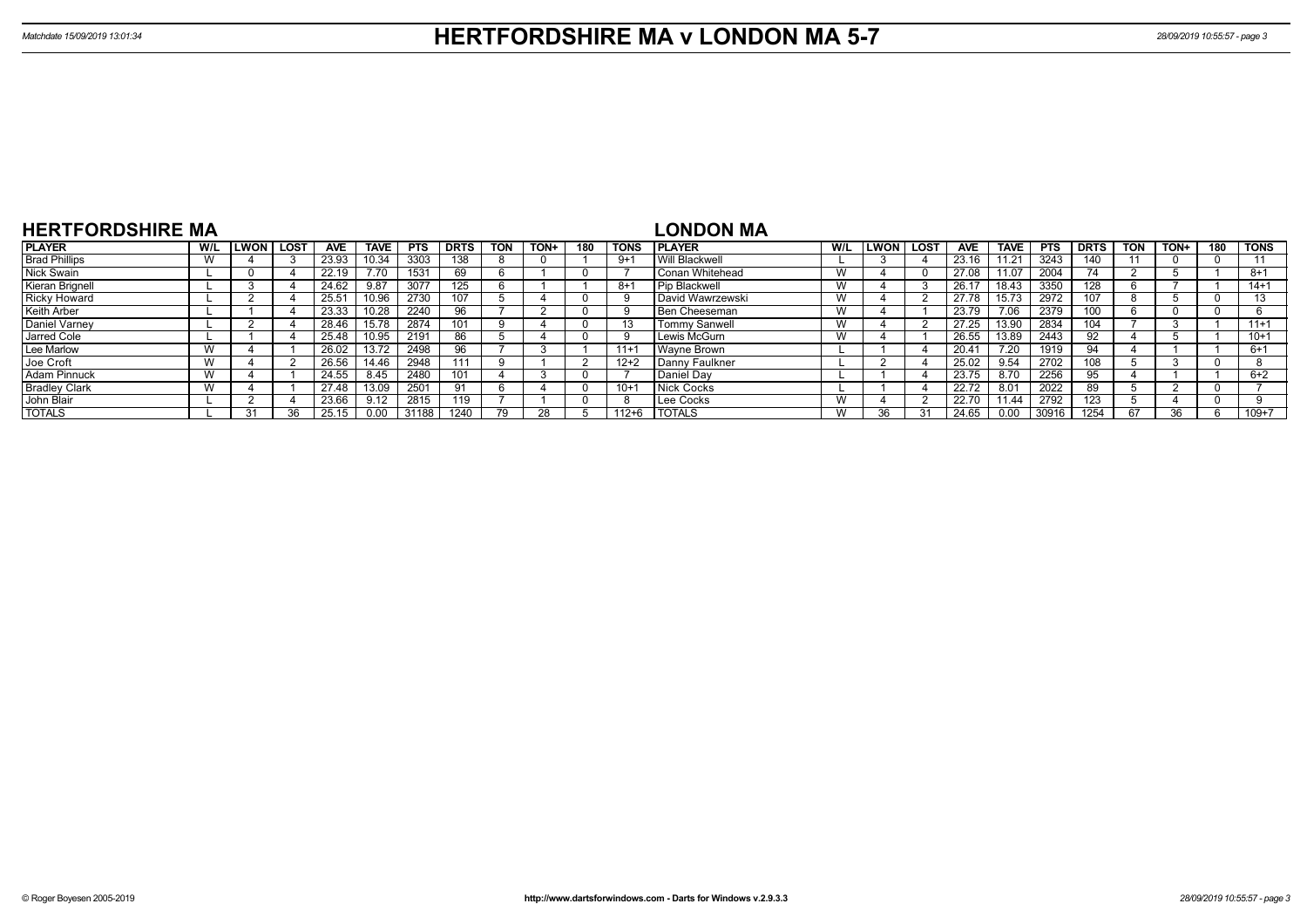| <b>HERTFORDSHIRE MA</b> |     |             |      |                |             |            |             |            |      |     |             | LONDON MA            |     |      |      |                |             |            |             |            |      |     |             |
|-------------------------|-----|-------------|------|----------------|-------------|------------|-------------|------------|------|-----|-------------|----------------------|-----|------|------|----------------|-------------|------------|-------------|------------|------|-----|-------------|
| <b>PLAYER</b>           | W/L | <b>LWON</b> | LOST | <b>AVE</b>     | <b>TAVE</b> | <b>PTS</b> | <b>DRTS</b> | <b>TON</b> | TON+ | 180 | <b>TONS</b> | <b>IPLAYER</b>       | W/L | LWON | LOST | <b>AVE</b>     | <b>TAVE</b> | <b>PTS</b> | <b>DRTS</b> | <b>TON</b> | TON+ | 180 | <b>TONS</b> |
| <b>Brad Phillips</b>    |     |             |      | 23.93          | 0.34        | 3303       | 138         |            |      |     | 9+1         | Will Blackwell       |     |      |      | 23.16          | 11.21       | 3243       | 140         |            |      |     |             |
| Nick Swain              |     |             |      | 22.19          |             | 1531       | 69          |            |      |     |             | Conan Whitehead      | W   |      |      | 27.08          | 11.07       | 2004       |             |            |      |     | $8 + 1$     |
| Kieran Brignell         |     |             |      | 24.62          | 9.87        | 3077       |             |            |      |     | -8+         | <b>Pip Blackwell</b> | W   |      |      | 26.17          | 18.43       | 3350       | 128         |            |      |     | $14 + 1$    |
| <b>Ricky Howard</b>     |     |             |      | $25.5^{\circ}$ | 10.96       | 2730       | 107         |            |      |     |             | David Wawrzewski     | W   |      |      | 27.78          | 15.73       | 2972       | 107         |            |      |     |             |
| <b>Keith Arber</b>      |     |             |      | 23.33          |             | 2240       | 96          |            |      |     | -9          | <b>Ben Cheeseman</b> | W   |      |      | 23.79          | 7.06        | 2379       | 100         |            |      |     |             |
| Daniel Varney           |     |             |      | 28.46          | 15.78       | 2874       |             |            |      |     | 13          | <b>Tommy Sanwell</b> | W   |      |      | 27.25          | 13.90       | 2834       | 104         |            |      |     | $11+1$      |
| Jarred Cole             |     |             |      | 25.48          | 0.95        | 2191       | 86          |            |      |     | <b>g</b>    | Lewis McGurn         | W   |      |      | 26.55          | 13.89       | 2443       |             |            |      |     | $10+1$      |
| Lee Marlow              |     |             |      | 26.02          | 13.72       | 2498       | 96          |            |      |     | $11 +$      | <b>Wayne Brown</b>   |     |      |      | $20.4^{\circ}$ | 7.20        | 1919       | 94          |            |      |     | $6+1$       |
| Joe Croft               |     |             |      | 26.56          | 14 46       | 2948       | 111         |            |      |     | $12+2$      | Danny Faulkner       |     |      |      | 25.02          | 9.54        | 2702       | 108         |            |      |     |             |
| <b>Adam Pinnuck</b>     |     |             |      | 24.55          | 8.45        | 2480       | 101         |            |      |     |             | Daniel Dav           |     |      |      | 23.75          | 8.70        | 2256       | 95          |            |      |     | $6+2$       |
| <b>Bradley Clark</b>    |     |             |      | 27.48          | 13.09       | 2501       | -91         |            |      |     | $10 +$      | Nick Cocks           |     |      |      | 22.72          | 8.01        | 2022       | 89          |            |      |     |             |
| John Blair              |     |             |      | 23.66          | 9.12        | 2815       | 119         |            |      |     | -8          | Lee Cocks            | W   |      |      | 22.70          | 11.44       | 2792       | 123         |            |      |     |             |
| <b>TOTALS</b>           |     | 31          | 36   | 25.15          | 0.00        | 31188      | 1240        |            |      |     | $112 + 6$   | <b>I TOTALS</b>      | W   |      |      | 24.65          | 0.00        | 30916      | 1254        | 67         | 36   |     | $109 + 7$   |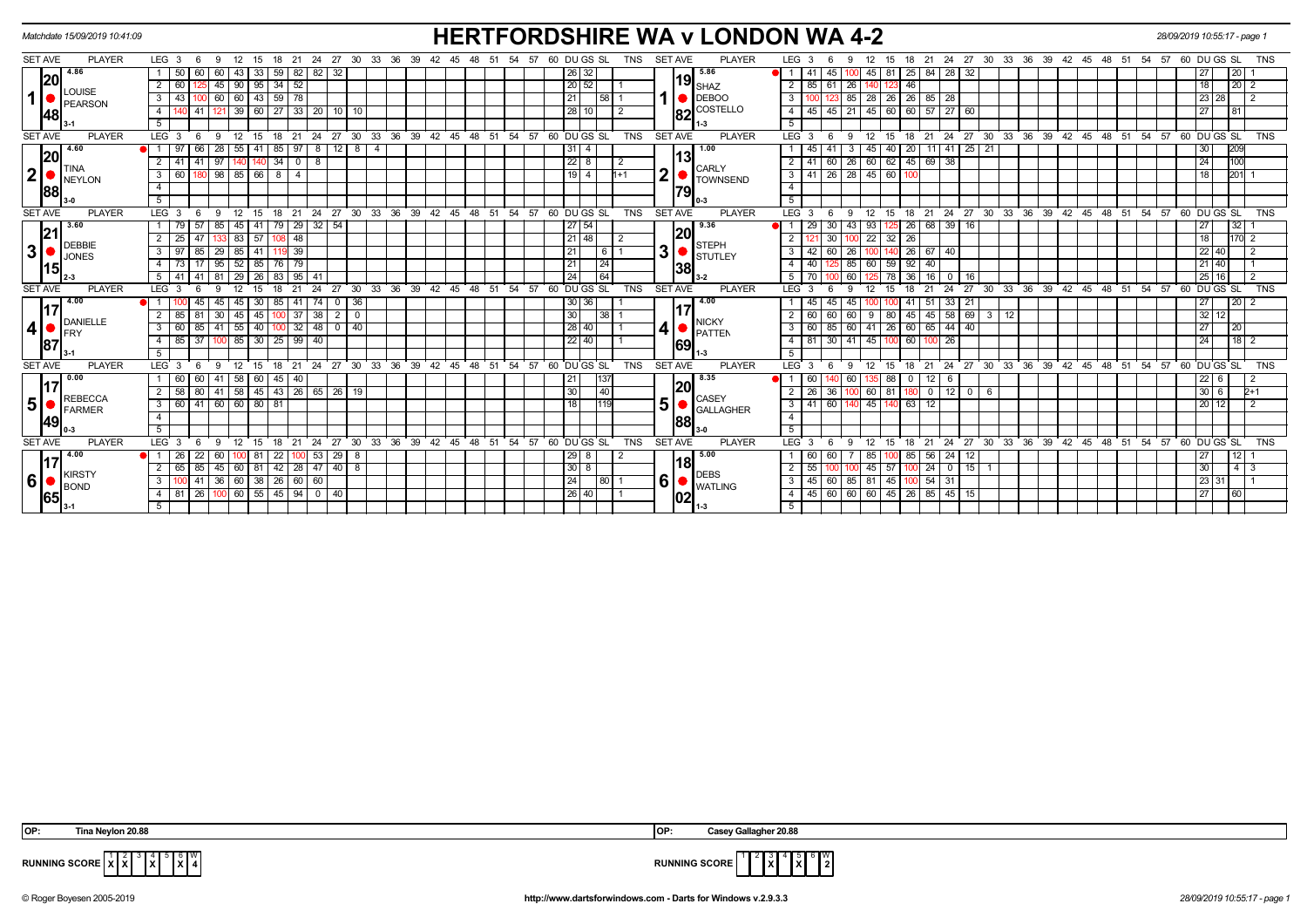| Matchdate 15/09/2019 10:41:09                       |                                                                        | <b>HERTFORDSHIRE WA v LONDON WA 4-2</b>                                                               |                                                                                                            | 28/09/2019 10:55:17 - page 1          |
|-----------------------------------------------------|------------------------------------------------------------------------|-------------------------------------------------------------------------------------------------------|------------------------------------------------------------------------------------------------------------|---------------------------------------|
| <b>SET AVE</b><br><b>PLAYER</b>                     | LEG $3 \quad 6$<br>12 15 18 21 24 27 30 33 36 39 42 45 48<br>- 9       | <b>PLAYER</b><br>54 57<br>60 DU GS SL<br>TNS<br><b>SET AVE</b><br>51                                  | LEG 3<br>12<br>18 21 24 27 30 33 36 39 42 45 48 51<br>-9<br>15<br>-6                                       | 57 60 DU GS SL<br>TNS<br>54           |
| 4.86                                                | 50<br>$43 \mid 33 \mid 59 \mid$<br>$82 \mid 82 \mid$<br>32<br>60       | 5.86<br>26 32                                                                                         | $81 \mid 25 \mid 84$<br> 28 32<br>45 100 45<br>$\bullet$ l 1 l 41                                          | 20 <br>27                             |
| 20 <br>$\overline{2}$                               | 90   95   34<br>52<br>$25 \mid 45 \mid$<br>60                          | 19 <sub>SHAZ</sub><br> 20 52                                                                          | $2 \mid 85 \mid$<br>46<br>$61 \mid 26$<br>140                                                              | 20<br>18<br>$\overline{2}$            |
| LOUISE<br>$\mathbf{1}$<br>$\mathbf{3}$<br>PEARSON   | 43 100 60 60 43 59 78                                                  | <b>DEBOO</b><br> 21 <br> 58 1                                                                         | 85 28 26 26 85 28<br>$3 \mid 100$                                                                          | $\overline{12}$<br>23 28              |
| $\overline{4}$<br> 48                               | 39 60 27 33 20 10 10<br>41   121                                       | COSTELLO<br> 28 10 <br>$\sqrt{2}$<br>182                                                              | 4   45   45   21   45   60   60   57   27   60                                                             | 27<br>$\overline{81}$                 |
| $\overline{5}$                                      |                                                                        | 1-3                                                                                                   | 5                                                                                                          |                                       |
| <b>PLAYER</b><br><b>SET AVE</b><br>LEG <sup>3</sup> | 12 15 18 21 24 27 30 33 36 39 42 45 48 51 54 57<br>- 9<br>- 6          | <b>SET AVE</b><br>60 DUGS SL<br><b>TNS</b><br><b>PLAYER</b>                                           | LEG <sub>3</sub><br>$^{\circ}$ 12<br>15 18 21 24 27 30 33 36 39 42 45 48 51 54 57 60 DUGS SL<br>- 9<br>- 6 | <b>TNS</b>                            |
| 4.60<br> 20                                         | 12 <sup>1</sup><br>28<br>55   41<br>85<br>8 4<br>97<br>- 8             | 1.00<br>31<br>13                                                                                      | 11 41 25 21<br>45<br>45<br>40   20                                                                         | 209<br>30                             |
| $\overline{2}$<br><b>TINA</b>                       | 97<br>34<br>$\overline{0}$<br>$\mathbf{A}^*$<br>l 8                    | 22 8<br>- 2<br><b>CARLY</b>                                                                           | $62$ 45 69<br>38<br>$2 \mid 41$<br>60 26<br>60                                                             | 100<br>24                             |
| $\mathbf{2}$<br>3<br><b>NEYLON</b>                  | 80 98<br>85 66<br>60<br>8<br>$\overline{a}$                            | 2<br>19 <sup>1</sup><br>$1 + 1$<br><b>TOWNSEND</b>                                                    | 26 28 45 60 100<br>$3 \mid 41$                                                                             | 201<br>18                             |
| $\overline{4}$<br> 88                               |                                                                        | 79                                                                                                    | $\overline{4}$                                                                                             |                                       |
| 5 <sup>5</sup>                                      |                                                                        |                                                                                                       | 5 <sup>5</sup>                                                                                             |                                       |
| <b>SET AVE</b><br><b>PLAYER</b><br>LEG <sub>3</sub> | 30 33 36 39 42 45 48 51<br>$24$ 27<br>12<br>18<br>21<br>-6<br>-9<br>15 | 54 57<br>60 DU GS SL<br><b>TNS</b><br><b>SET AVE</b><br><b>PLAYER</b>                                 | 24 27 30 33 36 39 42 45 48 51<br>LEG 3<br>12<br>15<br>18 21<br>9                                           | 54 57 60 DU GS SL<br><b>TNS</b>       |
| 3.60                                                | $29 \mid 32 \mid 54$<br>85<br>45   41  <br>79<br>79 57                 | 9.36<br>27 54                                                                                         | 68<br>39 16<br>29<br>30   43  <br>93<br>26                                                                 | 32<br>27                              |
| <b>DEBBIE</b>                                       | 48<br>$25$   47<br>83   57<br>108                                      | 20<br>$121$ 48<br>2<br><b>STEPH</b>                                                                   | 22<br>$32 \mid 26$<br>30 <sup>1</sup>                                                                      | 170<br>18<br>$\overline{2}$           |
| 3<br>3<br><b>JONES</b>                              | 39<br>29<br>85   41<br>119                                             | 3 <sup>1</sup><br>21<br>  6   1<br><b>STUTLEY</b>                                                     | $26 \mid 67$<br>40<br>$3^{\circ}$<br>-42<br>60<br>26                                                       | $22$ 40                               |
| 15                                                  | $17$ 95<br>$52$ 85 76<br>79                                            | 24 <br>21<br>138                                                                                      | $4 \mid 40$<br>85 60<br>$59$ 92<br>40                                                                      | 21 40                                 |
| 5 <sub>1</sub>                                      | 41   81<br>29 26 83 95 41<br>41                                        | 24<br>$\overline{64}$<br>$3-2$                                                                        | 5   70<br>78 36 1<br>16<br>60 l<br>0 1 16                                                                  | 25 16<br>$\overline{2}$               |
| <b>SET AVE</b><br><b>PLAYER</b><br>LEG <sub>3</sub> | 24<br>30 33 36 39 42 45 48 51<br>27                                    | 60 DU GS SL<br><b>PLAYER</b><br>54 57<br><b>TNS</b><br><b>SET AVE</b>                                 | LEG <sup>3</sup><br>24<br>27<br>ີ 30<br>33 36 39 42 45 48 51 54 57<br>15<br>18<br>21                       | DU GS SL<br><b>TNS</b><br>60          |
| 4.00<br>17                                          | 36<br>$45$ 30<br>85<br>41   74<br>45<br>$\mathbf{0}$                   | 4.00<br>30 36                                                                                         | 33   21<br>45<br>51<br>45<br>45                                                                            | $\overline{20}$<br>27                 |
| 2<br>DANIELLE                                       | 85<br>30<br>37 38<br>2<br>$\Omega$<br>45   45  <br>100                 | 30<br>138 L<br><b>NICKY</b>                                                                           | 58   69   3   12<br>60<br>$80 \mid 45 \mid$<br>45<br>60<br>- 60<br>9                                       | $32 \mid 12$                          |
| 4<br>3<br><b>IFRY</b>                               | $\sqrt{41}$<br>55 40<br>$32$   48<br>40<br>60<br>$\circ$ 1<br>100      | 4<br>$128$ 40<br><b>PATTEN</b>                                                                        | 85 60 41 26 60 65 44 40<br>3   60                                                                          | 20<br>27                              |
| $\overline{4}$<br>187                               | $85 \mid 37$<br>$85 \mid 30 \mid 25$<br>99   40<br>100                 | 22 40<br>169                                                                                          | $4 \mid 81$<br>$30 \mid 41$<br>45<br>26<br>60<br>100                                                       | 18<br>24                              |
| $5\overline{)}$                                     |                                                                        |                                                                                                       | 5 <sup>5</sup>                                                                                             |                                       |
| <b>SET AVE</b><br><b>PLAYER</b><br><b>LEG</b>       | 30 <sup>°</sup><br>33 36<br>$39^{\circ}$<br>18<br>24<br>27<br>15<br>21 | $42 \quad 45$<br>$-48$<br>51<br>54 57<br>60 DU GS SL<br><b>TNS</b><br><b>SET AVE</b><br><b>PLAYER</b> | LEG <sup>'</sup><br>24<br>$27 \cdot 30$<br>$33^\circ$<br>36 39<br>42 45 48 51<br>21<br>-9<br>15<br>18      | 54<br>57<br>60 DU GS SL<br><b>TNS</b> |
| 0.00<br>17'                                         | 58   60   45<br>60   41<br>40<br>-60 I                                 | 8.35<br> 21 <br>137                                                                                   | 88 0<br>60<br>12<br>1401601<br>- 6<br>135.                                                                 | $22 \mid 6$                           |
| $\overline{2}$<br><b>REBECCA</b>                    | 58   80   41   58   45   43   26   65   26   19                        | 20<br>30<br> 40 <br><b>CASEY</b>                                                                      | $2 \mid 26$<br>100 60<br>81 180 0<br>$12$ $0$ $6$<br>36                                                    | $30 \ 6$<br>$2+1$                     |
| 5<br>$\mathbf{3}$<br>FARMER                         | 60 41 60 60 80 81                                                      | 5<br>18<br><b>GALLAGHER</b>                                                                           | $3 \mid 41$<br>60 140<br>$-45$<br>0.63<br>12                                                               | $20 \mid 12$<br>$\overline{2}$        |
| $\overline{4}$<br> 49                               |                                                                        | 188                                                                                                   | $\overline{4}$                                                                                             |                                       |
| $\overline{5}$                                      |                                                                        |                                                                                                       | 5                                                                                                          |                                       |
| <b>PLAYER</b><br>LEG <sub>3</sub><br><b>SET AVE</b> | 12<br>18<br>$^{\circ}$ 21<br>- 6<br>- 9<br>15                          | <b>PLAYER</b><br>24 27 30 33 36 39 42 45 48 51 54 57 60 DUGS SL<br><b>TNS</b><br><b>SET AVE</b>       | $LEG^3$ 3<br>18 21 24 27 30 33 36 39 42 45 48 51 54 57 60 DUGS SL<br>12<br>15<br>- 6<br>- 9                | <b>TNS</b>                            |
| 4.00<br><b>e</b> l 1 I<br>17                        | $100 \quad 53 \quad 29 \quad 8$<br>$26 \mid 22 \mid 60$<br>$100$ 81 22 | 5.00<br>$\sqrt{29}$ 8<br>2<br>l18                                                                     | $100$ 85 56 24 12<br>1 60<br>60 I<br>85                                                                    | 12 <br>27                             |
| $\overline{2}$<br><b>KIRSTY</b>                     | 65   85   45   60   81   42   28   47   40   8                         | $\sqrt{30}$ 8<br><b>DEBS</b>                                                                          | $2 \mid 55$<br>100 45 57 100 24<br> 0 15 1                                                                 | 30 <sup>1</sup>                       |
| 6<br>3<br><b>BOND</b>                               | $41 \mid 36 \mid$<br>$60$ 38 $26$ 60 60                                | 6<br>24<br> 80 1<br><b>WATLING</b>                                                                    | $3   45   60   85   81   45   100   54   31$                                                               | 23   31<br>$\overline{1}$             |
| $\overline{4}$<br>65                                | 81   26   100   60   55   45   94   0   40                             | 26 40 <br>02                                                                                          | 4   45   60   60   60   45   26   85   45   15                                                             | 27<br>$\sqrt{60}$                     |
| 5                                                   |                                                                        |                                                                                                       | 5 <sup>1</sup>                                                                                             |                                       |

| OP:         | Tina Nevlon 20.88                                       | OP:          | <b>Concu</b> | Gallaɑher |              | 20.88 |
|-------------|---------------------------------------------------------|--------------|--------------|-----------|--------------|-------|
|             |                                                         |              |              |           |              |       |
| <b>RUNN</b> | $\lambda$<br>$\sim$<br>…טט∪ר…<br>$\mathbf{v}$<br>$\sim$ | אווס<br>VNIN | auure        |           | $\mathbf{v}$ |       |

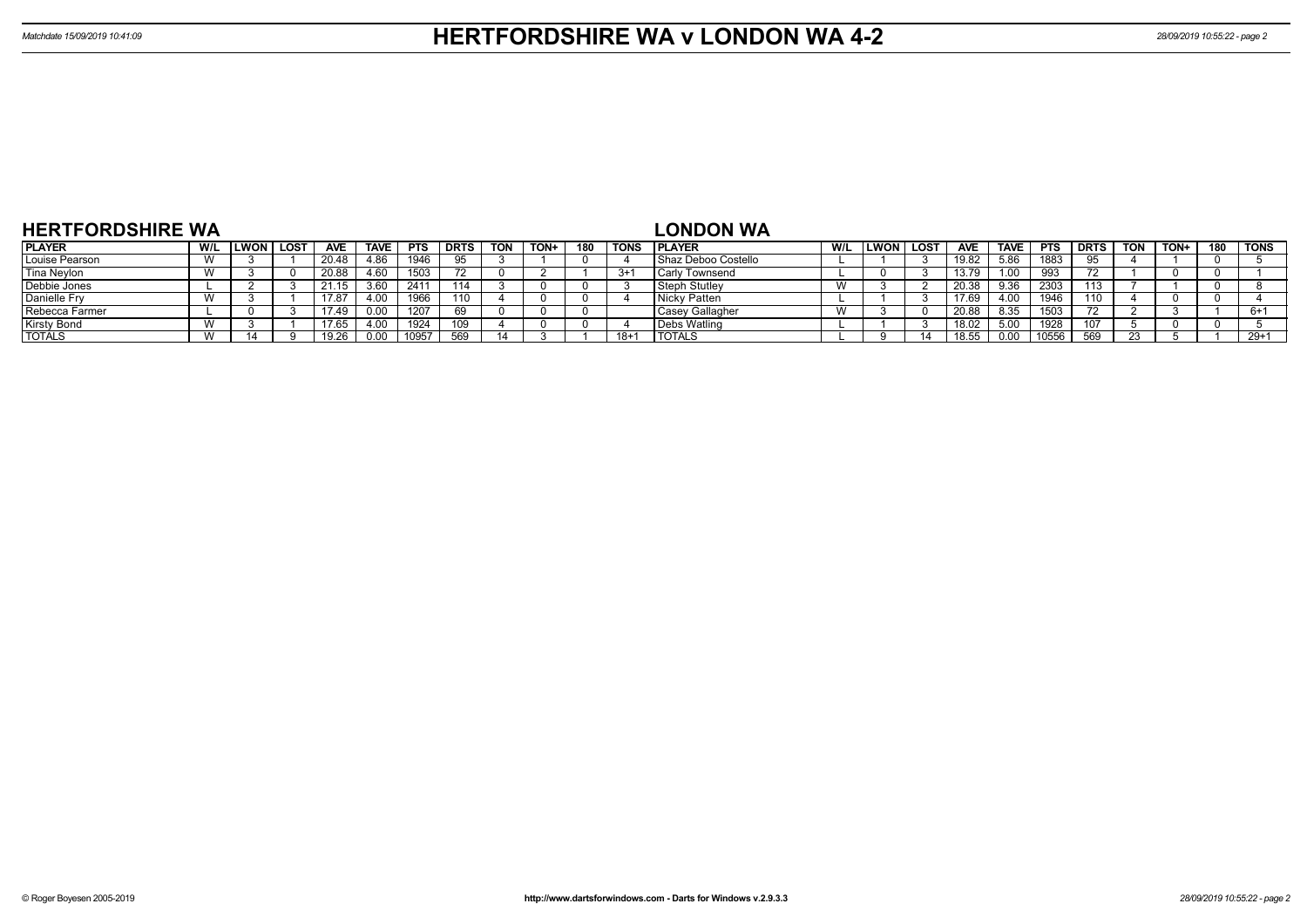| <b>HERTFORDSHIRE WA</b> |     |             |             |            |      |      |      |            |      |     |       | <b>LONDON WA</b>        |     |      |      |            |             |            |             |     |      |     |             |
|-------------------------|-----|-------------|-------------|------------|------|------|------|------------|------|-----|-------|-------------------------|-----|------|------|------------|-------------|------------|-------------|-----|------|-----|-------------|
| <b>PLAYER</b>           | W/L | <b>LWON</b> | <b>LOST</b> | <b>AVE</b> | TAVE | PTS  | DRTS | <b>TON</b> | TON+ | 180 | TONS  | <b>PLAYER</b>           | W/L | LWON | LOST | <b>AVE</b> | <b>TAVE</b> | <b>PTS</b> | <b>DRTS</b> | TON | TON+ | 180 | <b>TONS</b> |
| Louise Pearson          |     |             |             | 20.48      | 4.86 | 1946 |      |            |      |     |       | Shaz Deboo Costello     |     |      |      | 19.82      | 5.86        | 1883       |             |     |      |     |             |
| Tina Neylon             |     |             |             | 20.88      | 4.60 | 1503 |      |            |      |     | $3+1$ | <b>I</b> Carly Townsend |     |      |      | 13.79      | 1.00        | 993        |             |     |      |     |             |
| Debbie Jones            |     |             |             | 21.15      | 3.60 | 241  |      |            |      |     |       | Steph Stutley           | v v |      |      | 20.38      | 9.36        | 2303       | 10.         |     |      |     |             |
| Danielle Fry            |     |             |             | 17.8       | 4.00 | 1966 | 110  |            |      |     |       | Nicky Patten            |     |      |      |            | 4.00        | 1946       | 110         |     |      |     |             |
| Rebecca Farmer          |     |             |             | 7.49،      | 0.00 | 1207 |      |            |      |     |       | Casey Gallagher         | v v |      |      | 20.88      | 8.35        | 1503       |             |     |      |     | $6+1$       |
| <b>Kirsty Bond</b>      |     |             |             | 17.65      | 4.00 | 1924 | 109  |            |      |     |       | Debs Watling            |     |      |      |            | 5.00        | 1928       | 107         |     |      |     |             |
| <b>TOTALS</b>           |     |             |             |            | 0.00 |      | 569  |            |      |     | $18+$ | <b>I TOTALS</b>         |     |      |      |            | 0.00        | 10556      | 560         |     |      |     | $29+1$      |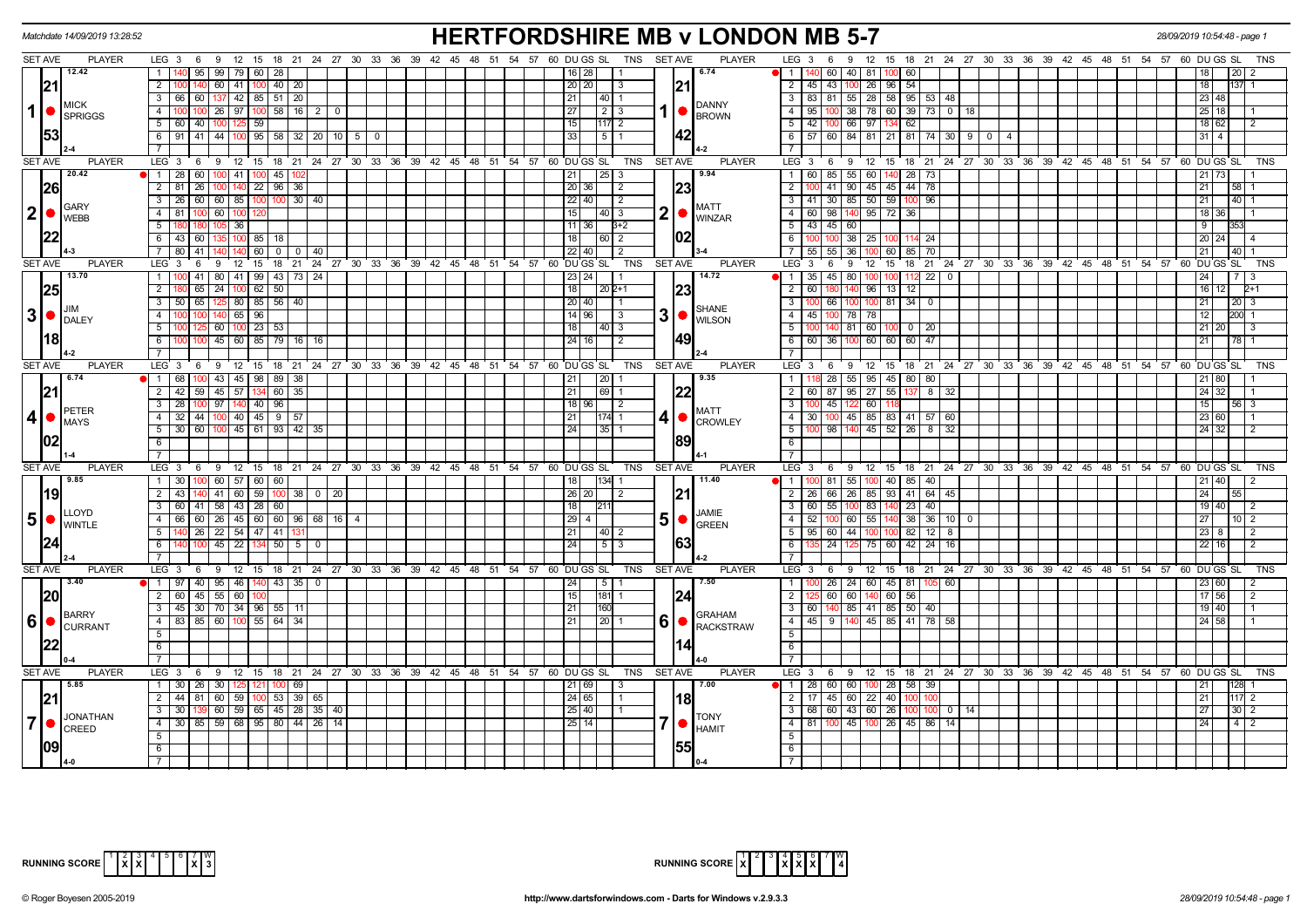|                   | Matchdate 14/09/2019 13:28:52         |                                                                                                       | <b>HERTFORDSHIRE MB v LONDON MB 5-7</b>                                                                          | 28/09/2019 10:54:48 - page                                                                      |
|-------------------|---------------------------------------|-------------------------------------------------------------------------------------------------------|------------------------------------------------------------------------------------------------------------------|-------------------------------------------------------------------------------------------------|
| <b>SET AVE</b>    | <b>PLAYER</b>                         | LEG 3 6 9 12 15 18 21 24 27 30 33 36 39 42 45 48 51 54 57 60 DUGS SL                                  | TNS SET AVE<br><b>PLAYER</b>                                                                                     | LEG 3  6  9  12  15  18  21  24  27  30  33  36  39  42  45  48  51  54  57  60  DUGS SL<br>TNS |
|                   | 12.42                                 | $95 \mid 99 \mid 79 \mid 60 \mid 28$<br>$\overline{1}$                                                | 6.74<br>16   28                                                                                                  | 60   40   81  <br><b>M</b> 1<br>60                                                              |
|                   | 21                                    | 60   41   100   40   20  <br>2 100                                                                    | 21<br>20 20 <br>l 3                                                                                              | $\overline{2}$<br>45 43 100 26 96 54<br>18                                                      |
|                   |                                       | 3 66 60 137 42 85 51 20                                                                               | 21                                                                                                               | 3   83   81   55   28   58   95   53   48<br>23 48                                              |
| $\mathbf{1}$      | <b>MICK</b><br>SPRIGGS                | $26$   97<br>$100$ 58   16  <br>$\overline{4}$<br>$\overline{2}$<br>1በበ<br>- 0                        | <b>DANNY</b><br>27 <sup>1</sup><br>$\begin{array}{c c c c c} \hline 2 & 3 \\ \hline \end{array}$<br><b>BROWN</b> | 95   100   38   78   60   39   73   0   18<br>25 18<br>4                                        |
|                   |                                       | 5<br>60 40 100 125 59                                                                                 | 15<br>$ 117 $ 2                                                                                                  | 42   100   66   97   134   62<br>5<br>18 62<br>$\sqrt{2}$                                       |
|                   | 53                                    | 6 91 41 44 100 95 58 32 20 10 5 0                                                                     | 42<br>33 <br>1511                                                                                                | 6   57   60   84   81   21   81   74   30   9   0   4<br>$31$   4                               |
|                   |                                       |                                                                                                       |                                                                                                                  |                                                                                                 |
| <b>SET AVE</b>    | <b>PLAYER</b>                         | LEG <sub>3</sub><br>6 9 12 15 18 21 24 27 30 33 36 39 42 45 48 51 54 57 60 DUGS SL                    | <b>SET AVE</b><br><b>PLAYER</b><br>TNS                                                                           | LEG 3 6 9 12 15 18 21 24 27 30 33 36 39 42 45 48 51 54 57 60 DUGS SL<br>TNS                     |
|                   | 20.42                                 | 1 28 60 100 41 100 45 102                                                                             | 9.94<br>$\vert 25 \vert 3$<br> 21                                                                                | 1 60 85 55 60 140 28 73<br>21 73                                                                |
|                   | 26                                    | 100 140 22 96 36<br>$\overline{2}$<br>81<br>26                                                        | 23<br>20 36 <br>$\vert$ 2                                                                                        | 41   90   45   45   44   78<br>$\overline{2}$<br>21<br>58                                       |
|                   |                                       | 60 60 85<br>$100$ $100$ 30 40<br>3<br>26 <sup>1</sup>                                                 | $22$ 40<br>$\vert$ 2                                                                                             | 41 30 85 50 59 100 96<br>21<br>40 1<br>3 I                                                      |
| $\vert$ 2 $\vert$ | GARY                                  | 81 100 60 100<br>4                                                                                    | MATT<br>2 •<br>15<br>14013                                                                                       | 4 60 98 140 95 72 36<br>18 36                                                                   |
|                   | <b>WEBB</b>                           | 105 36                                                                                                | <b>WINZAR</b><br>11 36<br>$3+2$                                                                                  | 5   43   45   60<br>-9                                                                          |
|                   |                                       | 6 43 60<br>135 100 85 18                                                                              | 102<br>18<br> 60 2                                                                                               | 100 100 38 25 100 114 24<br>6<br>$20$ 24                                                        |
|                   |                                       | $140$ 140 60 0 0 0 40<br>7 80 41                                                                      | 22   40  <br>$\overline{2}$                                                                                      | $55 \mid 55 \mid 36$<br>100 60 85 70<br>21<br>$40$ 1<br><b>7</b> I                              |
| <b>SET AVE</b>    | <b>PLAYER</b>                         | LEG <sup>3</sup><br>$9 \t12 \t15$<br>6                                                                | 18 21 24 27 30 33 36 39 42 45 48 51 54 57 60 DUGS SL<br><b>TNS</b><br><b>SET AVE</b><br><b>PLAYER</b>            | LEG 3<br>12 15 18 21 24 27 30 33 36 39 42 45 48 51 54 57<br>60 DU GS SL<br><b>TNS</b><br>6<br>9 |
|                   | 13.70                                 | 00 41 80 41 99 43 73 24<br>$\mathbf{1}$                                                               | 14.72<br>23 24                                                                                                   | 1 35 45 80 100 100 112 22<br>$\overline{0}$<br>24                                               |
|                   | 25                                    | 65 24 100 62 50<br>2                                                                                  | 23<br>18<br>20 2+1                                                                                               | 60<br>$140$ 96 13 12<br>2 I<br>16 12<br>2+1                                                     |
|                   |                                       | $50$ 65 $125$ 80 85 56 40<br>$\overline{\mathbf{3}}$                                                  | 20   40  <br>$\overline{11}$                                                                                     | 66 100 100 81 34 0<br>3<br>21<br>$20 \quad 3$                                                   |
|                   | ЛM<br>$3$ $\bullet$ $\frac{100}{100}$ | 140 65 I<br>96                                                                                        | <b>SHANE</b><br>$3$ $\bullet$ $\frac{1}{\text{WILSON}}$<br>$14$ 96<br>I 3                                        | $\overline{4}$<br>45 I<br>l 78<br>78<br>12<br>200 1                                             |
|                   |                                       | $60$   100   23   53<br>5                                                                             | 18<br> 40 3                                                                                                      | 140 81 60<br>5 <sup>5</sup><br>$100$ 0 20<br>$21 \,   \, 20$<br>  3                             |
|                   | I181                                  | 45 60 85 79 16 16<br>- 6                                                                              | 49<br>24 16 <br>$\overline{2}$                                                                                   | 60 36 100 60 60 60 47<br>21<br>6<br>78                                                          |
|                   |                                       |                                                                                                       |                                                                                                                  | $\overline{7}$                                                                                  |
| <b>SET AVE</b>    | <b>PLAYER</b>                         | LEG $3 \quad 6$<br>9 12 15 18 21 24 27 30 33 36 39 42 45 48 51 54 57 60 DUGS SL                       | <b>SET AVE</b><br><b>PLAYER</b><br>TNS                                                                           | LEG <sub>3</sub><br>12 15 18 21 24 27 30 33 36 39 42 45 48 51 54 57 60 DUGS SL<br>69<br>TNS     |
|                   | 6.74                                  | 43   45   98   89   38<br>$\overline{1}$<br>68                                                        | 9.35<br> 20 <br>21                                                                                               | 28 55 95 45 80<br>$\overline{1}$<br>80<br>21   80                                               |
|                   | 21                                    | 2 42 59 45 57 134 60 35                                                                               | 22<br>21<br> 69 1                                                                                                | $\overline{2}$<br>60   87   95   27   55   137<br>8 <sup>1</sup><br>32<br>24 32                 |
|                   |                                       | $97$ 140 40 96<br>$\overline{\mathbf{3}}$<br>28                                                       | 18 96<br>$\overline{2}$                                                                                          | 45 122 60<br>$\overline{3}$<br>15<br>56 3                                                       |
| 4                 | <b>PETER</b>                          | 32 44 100 40 45 9 57<br>4                                                                             | <b>MATT</b><br>$ 174 $ 1<br>211                                                                                  | 30   100   45   85   83   41   57   60<br>4<br>23 60                                            |
|                   | <b>MAYS</b>                           | 30 60 100 45 61 93 42 35<br>5                                                                         | $4$ $\bullet$ $\overline{\phantom{a}}$ CROWLEY<br>24<br>$ 35 $ 1                                                 | 100 98 140 45 52 26 8 32<br>5 <sup>5</sup><br>24 32<br>$\vert$ 2                                |
|                   | 102                                   | 6                                                                                                     | 189                                                                                                              | 6                                                                                               |
|                   |                                       |                                                                                                       |                                                                                                                  | $\overline{7}$                                                                                  |
| <b>SET AVE</b>    | <b>PLAYER</b>                         | 9 12 15 18 21 24 27 30 33 36 39 42 45 48 51 54 57 60 DUGS SL<br>LEG 3<br>6                            | TNS<br>SET AVE<br><b>PLAYER</b>                                                                                  | LEG <sub>3</sub><br>6 9 12 15 18 21 24 27 30 33 36 39 42 45 48 51 54 57 60 DUGS SL<br>TNS       |
|                   | 19.85                                 | 1 30 100 60 57 60 60                                                                                  | 11.40<br>18<br> 134  1                                                                                           | 100 81 55 100 40 85 40<br>21 40<br>  1                                                          |
|                   | 19                                    | $41 \mid 60 \mid 59 \mid$<br>$\overline{2}$<br>43<br>100<br>38 0 20<br>140                            | 26 20 <br> 21<br>$\vert$ 2                                                                                       | $\overline{2}$<br>26 66 26 85<br>93 41 64 45<br>24                                              |
|                   |                                       | 60 41 58 43 28 60<br>3                                                                                | 18  <br> 211                                                                                                     | 60 55 100 83<br>$140$ 23 40<br>3<br>19   40<br>l 2                                              |
| 5 <sup>1</sup>    | LLOYD                                 | 4 66 60 26 45 60 60 96 68 16 4                                                                        | JAMIE<br>$5\bullet$                                                                                              | 4   52   100   60   55   140   38   36   10   0<br>27 I<br>1012                                 |
|                   | <b>WINTLE</b>                         | 5   140   26   22   54   47   41   131                                                                | <b>GREEN</b><br>  21  <br> 40 2                                                                                  | 5   95   60   44   100   100   82   12  <br>8<br>$23 \mid 8$<br>l 2                             |
|                   |                                       | $45 \mid 22 \mid 134 \mid$<br>$50 \mid 5 \mid$<br>6<br>$\Omega$                                       | 24<br>$5 \mid 3$                                                                                                 | 75 60 42 24<br>6<br>24 125<br>22 16<br>$\overline{2}$<br>16                                     |
|                   |                                       |                                                                                                       |                                                                                                                  | $\overline{7}$                                                                                  |
| <b>SET AVE</b>    | <b>PLAYER</b>                         | $LEG_3$ 6<br>9 12 15 18 21 24 27 30 33 36 39 42 45 48 51 54 57 60 DUGS SL                             | TNS<br><b>SET AVE</b><br><b>PLAYER</b>                                                                           | LEG 3<br>6 9 12 15 18 21 24 27 30 33 36 39 42 45 48 51 54 57 60 DUGS SL<br>TNS                  |
|                   | 13.40                                 | 1   97   40   95   46   140   43   35   0                                                             | 7.50<br>24<br>$\overline{5}$ $\overline{1}$                                                                      | 100 26 24 60 45 81 105 60<br>$\overline{1}$<br>23 60<br>$\overline{2}$                          |
|                   | 20                                    | 2   60   45   55   60                                                                                 | 124<br>15<br>$ 181 $ 1                                                                                           | $60$ 60<br>140 60 56<br>$\overline{2}$<br>$17$ 56<br>$\sqrt{2}$                                 |
|                   |                                       | 3 45 30 70 34 96 55 11                                                                                | 21<br><b>160</b>                                                                                                 | 3 60 140 85 41 85 50 40<br>19 40                                                                |
| 6                 | BARRY                                 | 83 85 60 100 55 64<br>$\overline{4}$<br>-34                                                           | <b>GRAHAM</b><br>21<br>l 20 l                                                                                    | 4 45 9 140 45 85 41 78<br>58<br>24 58                                                           |
|                   | <b>O</b> CURRANT                      | 5                                                                                                     | <b>RACKSTRAW</b>                                                                                                 | 5 <sup>5</sup>                                                                                  |
|                   |                                       | 6                                                                                                     |                                                                                                                  | 6                                                                                               |
|                   |                                       |                                                                                                       |                                                                                                                  | 7                                                                                               |
| <b>SET AVE</b>    | <b>PLAYER</b>                         | LEG 3 6 9 12 15 18 21 24 27 30 33 36 39 42 45 48 51 54 57 60 DUGS SL                                  | <b>PLAYER</b><br>TNS<br><b>SET AVE</b>                                                                           | LEG 3 6 9 12 15 18 21 24 27 30 33 36 39 42 45 48 51 54 57 60 DUGS SL<br>TNS                     |
|                   | 15.85                                 | 1   30   26   30   125   121  <br>$100$ 69                                                            | 7.00<br>21 69                                                                                                    | $\bullet$   1   28   60   60   100   28   58   39                                               |
|                   |                                       | 2 44 81 60 59 100 53 39 65                                                                            | 18<br>24 65                                                                                                      | $\overline{2}$<br>17   45   60   22   40   100<br>21<br>117 2                                   |
|                   |                                       | $\boxed{60}$ $\boxed{59}$ $\boxed{65}$ $\boxed{45}$ $\boxed{28}$ $\boxed{35}$ $\boxed{40}$<br>3<br>30 | 25 40                                                                                                            | 3 68 60 43 60 26 100 100<br>0   14<br>27<br>$30 \mid 2$                                         |
| $\overline{7}$    | JONATHAN                              | 4 30 85 59 68 95 80 44 26 14                                                                          | <b>TONY</b><br>25 14                                                                                             | 81   100   45   100   26   45   86   14<br>4<br>24<br>$4 \mid 2$                                |
|                   | CREED                                 | -5                                                                                                    | <b>HAMIT</b>                                                                                                     | 5                                                                                               |
|                   |                                       | 6                                                                                                     | 55                                                                                                               | 6                                                                                               |
|                   |                                       |                                                                                                       |                                                                                                                  |                                                                                                 |



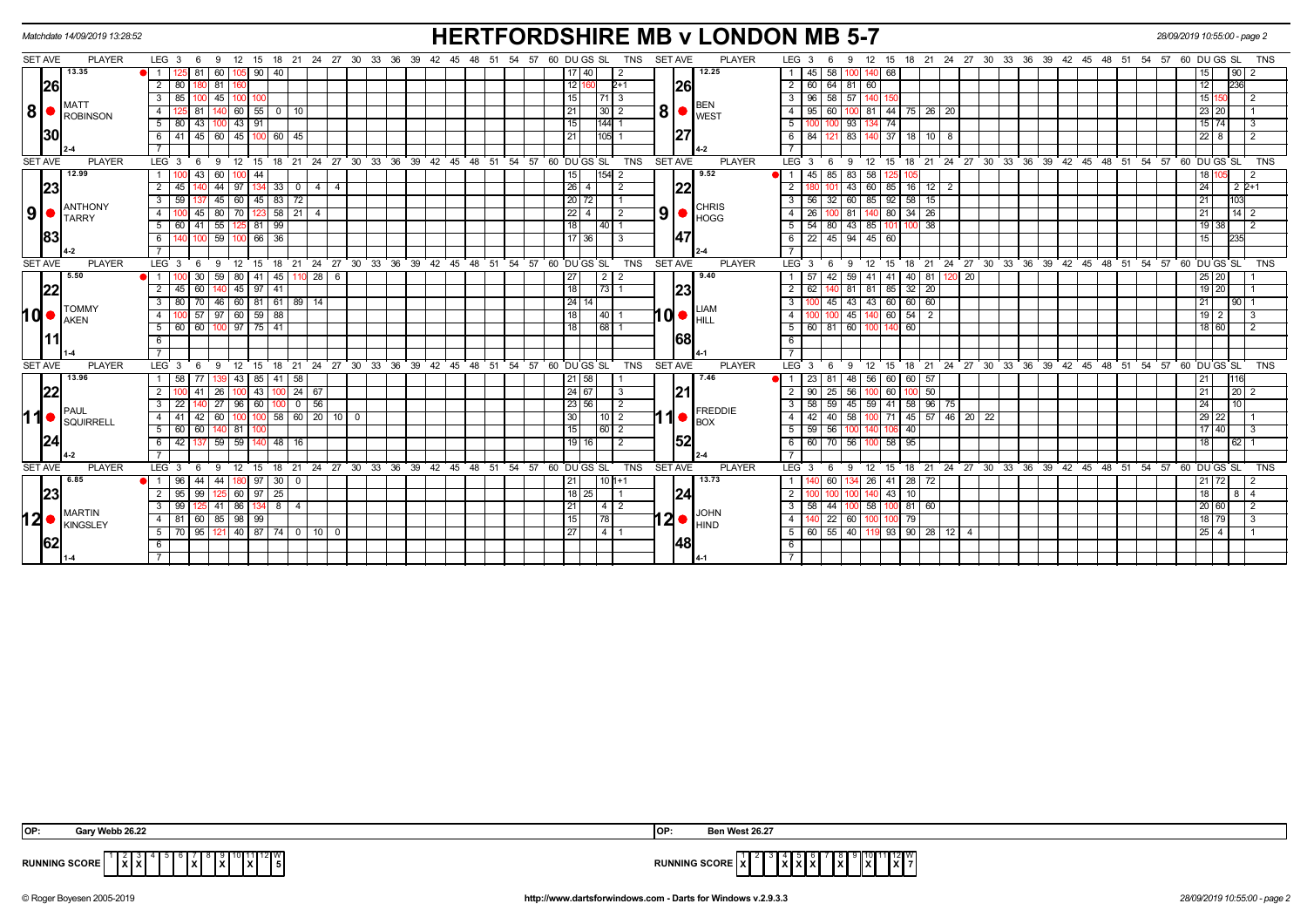|      |                | Matchdate 14/09/2019 13:28:52 |                                            |                       |               |                       |                |                           |                                                       |       |                  |  |             |          |                        |                |                |                | <b>HERTFORDSHIRE MB v LONDON MB 5-7</b>                                     |                 |                  |                 |                                          |               |               |              |                    |  |  |                                     |                                                      |         | 28/09/2019 10:55:00 - page 2 |                 |                |
|------|----------------|-------------------------------|--------------------------------------------|-----------------------|---------------|-----------------------|----------------|---------------------------|-------------------------------------------------------|-------|------------------|--|-------------|----------|------------------------|----------------|----------------|----------------|-----------------------------------------------------------------------------|-----------------|------------------|-----------------|------------------------------------------|---------------|---------------|--------------|--------------------|--|--|-------------------------------------|------------------------------------------------------|---------|------------------------------|-----------------|----------------|
|      | SET AVE        | <b>PLAYER</b>                 | LEG <sub>3</sub><br>6                      | 9 12 15               |               |                       |                |                           | 18 21 24 27 30 33 36 39 42 45 48 51 54 57 60 DU GS SL |       |                  |  |             |          |                        | TNS            | <b>SET AVE</b> |                | <b>PLAYER</b>                                                               |                 | LEG <sub>3</sub> |                 | 9                                        | 12<br>15      |               |              |                    |  |  |                                     | 18 21 24 27 30 33 36 39 42 45 48 51 54 57            |         | 60 DU GS SL                  |                 | <b>TNS</b>     |
|      |                | 13.35                         | 125 81<br>$\blacksquare$ 1                 | 60                    | 105 90 40     |                       |                |                           |                                                       |       |                  |  |             |          | 17140                  |                |                |                | 12.25                                                                       |                 | 45               | 58              |                                          | 140 68        |               |              |                    |  |  |                                     |                                                      |         |                              | 90              |                |
|      | 26             |                               | 2<br>80                                    | 81                    |               |                       |                |                           |                                                       |       |                  |  |             | 1211     |                        | $2+1$          |                | 26             |                                                                             |                 | 60               | 64              | 81                                       | 60            |               |              |                    |  |  |                                     |                                                      |         | 12                           | 236             |                |
|      |                |                               | $\mathbf{3}$<br>85                         | $45$ 100 1            |               |                       |                |                           |                                                       |       |                  |  |             | 15       |                        | 71   3         |                |                |                                                                             | 3 I             | 96               | 58              | 57 140 150                               |               |               |              |                    |  |  |                                     |                                                      |         | 15 150                       |                 | $\overline{2}$ |
| 8    | $\bullet$      | <b>MATT</b><br>ROBINSON       | -4<br>81                                   |                       | $60$ 55       | $0$   10              |                |                           |                                                       |       |                  |  |             | 21       |                        | 30 2           |                |                | <b>BEN</b><br>$\vert 8 \vert$ $\bullet$ $\vert_{\text{WEST}}^{\text{perv}}$ |                 | 95               | 60              |                                          | $-44$<br>81   |               | 75   26   20 |                    |  |  |                                     |                                                      |         | 23 20                        |                 |                |
|      |                |                               | 5<br>43<br>80                              | 100                   | 43   91       |                       |                |                           |                                                       |       |                  |  |             | 15       |                        | $144$ 1        |                |                |                                                                             | -5              |                  |                 | 93 I                                     | 74<br>134     |               |              |                    |  |  |                                     |                                                      |         | $15$ 74                      |                 | -3             |
|      | 30             |                               | 6<br>41<br>$45 \vert$                      | $\sqrt{60}$           |               | $145$   100   60   45 |                |                           |                                                       |       |                  |  |             | 21       |                        | $105$   1      |                | 127            |                                                                             | 6               | 84               | 121             | 83                                       | 140 37        |               | 18   10   8  |                    |  |  |                                     |                                                      |         | $22 \mid 8$                  |                 | $\overline{2}$ |
|      |                |                               |                                            |                       |               |                       |                |                           |                                                       |       |                  |  |             |          |                        |                |                |                |                                                                             |                 |                  |                 |                                          |               |               |              |                    |  |  |                                     |                                                      |         |                              |                 |                |
|      | <b>SET AVE</b> | <b>PLAYER</b>                 | LEG 3<br>- 6                               | 9                     | $12$ 15       |                       |                | 18 21 24 27 30            |                                                       | 33 36 | $39 \t 42 \t 45$ |  |             |          | 48 51 54 57 60 DUGS SL | <b>TNS</b>     | <b>SET AVE</b> |                | <b>PLAYER</b>                                                               | $LEG^{\cdot}$ 3 |                  | - 6             | 9                                        | 12<br>15      |               |              |                    |  |  |                                     | 18 21 24 27 30 33 36 39 42 45 48 51 54 57 60 DUGS SL |         |                              |                 | <b>TNS</b>     |
|      |                | 12.99                         | $\overline{1}$<br>43                       | 60                    | $100$ 44      |                       |                |                           |                                                       |       |                  |  |             | 15       |                        | 154  2         |                |                | 9.52                                                                        | <b>i</b> 1      | 45               | 85              | 83                                       | 58            |               |              |                    |  |  |                                     |                                                      |         |                              |                 |                |
|      | 23             |                               | $\overline{2}$<br>45                       | 44<br>97              |               | 33                    | $\mathbf{0}$   | $\overline{4}$<br>4 I     |                                                       |       |                  |  |             | $26$   4 |                        | 2              |                | 122            |                                                                             |                 |                  |                 | 43 <sup>1</sup>                          | 60 85         |               | $16$ 12 $2$  |                    |  |  |                                     |                                                      |         | 24                           | $2P+1$          |                |
|      |                | ANTHONY                       | $\overline{\mathbf{3}}$<br>59              | 45<br>60              | 45            | $83 \mid 72$          |                |                           |                                                       |       |                  |  |             |          | 20 72                  |                |                |                | <b>CHRIS</b>                                                                | 3               | 56               | 32              | 60                                       | 92<br>85      | 58            | 15           |                    |  |  |                                     |                                                      |         | 21                           | 103             |                |
| 9    |                | <b>TARRY</b>                  | $\overline{4}$<br>45                       | 80                    |               | 70 123 58 21          |                | $\overline{4}$            |                                                       |       |                  |  |             |          | $22$   4               | $\sqrt{2}$     |                | 9 •            | <b>HOGG</b>                                                                 | 4               | 26               |                 | 81                                       | 140 80        | $34 \mid 26$  |              |                    |  |  |                                     |                                                      |         | 21                           | $14 \mid 2$     |                |
|      |                |                               | 41<br>60                                   | 55                    | 125 81        | 99                    |                |                           |                                                       |       |                  |  |             | 18       |                        | 40  1          |                |                |                                                                             |                 | 54               | 80              | 43                                       | 85            | $100$ 38      |              |                    |  |  |                                     |                                                      |         | $19$ 38                      |                 |                |
|      | 83             |                               | 6                                          | $-59$   100   66      |               | $\sqrt{36}$           |                |                           |                                                       |       |                  |  |             |          | $\overline{17}$ 36     | 3              |                | 147            |                                                                             |                 |                  |                 | 6 22 45 94 45 60                         |               |               |              |                    |  |  |                                     |                                                      |         | 15                           | 235             |                |
|      |                |                               |                                            |                       |               |                       |                |                           |                                                       |       |                  |  |             |          |                        |                |                |                |                                                                             |                 |                  |                 |                                          |               |               |              |                    |  |  |                                     |                                                      |         |                              |                 |                |
|      | <b>SET AVE</b> | <b>PLAYER</b>                 | LEG <sub>3</sub>                           | 12<br>9               | 15            | 18                    | $^{\circ}$ 21  |                           | 24 27 30 33 36 39 42 45 48 51 54 57 60 DUGS SL        |       |                  |  |             |          |                        | <b>TNS</b>     |                | <b>SET AVE</b> | <b>PLAYER</b>                                                               |                 | LEG 3            |                 | 9                                        | 12<br>15      | $18 \quad 21$ |              |                    |  |  |                                     | 24 27 30 33 36 39 42 45 48 51 54 57 60 DUGS SL       |         |                              |                 | <b>TNS</b>     |
|      |                | 5.50                          | 30                                         | 59 <sub>1</sub>       | 80   41       |                       | $145$ 110 28   | 6                         |                                                       |       |                  |  |             | 27       |                        |                |                |                | 9.40                                                                        |                 |                  | 42              | 59                                       | 41<br>41      | $40 \mid 81$  |              | $\sqrt{20}$<br>120 |  |  |                                     |                                                      |         | $25 \overline{\smash{)}20}$  |                 |                |
|      | 22             |                               | $\overline{2}$<br>$45 \ 60$                | 140                   | 45   97       | 41                    |                |                           |                                                       |       |                  |  |             | 18       | 73 1                   |                |                | 23             |                                                                             | $\overline{2}$  | 62               |                 | 81                                       | 81<br>85      | $32 \mid 20$  |              |                    |  |  |                                     |                                                      |         | 19 20                        |                 |                |
|      |                | <b>TOMMY</b>                  | $\overline{\cdot \cdot \cdot}$<br>80<br>70 | 46                    |               |                       | 60 81 61 89 14 |                           |                                                       |       |                  |  |             | 24114    |                        |                |                |                | <b>LIAM</b>                                                                 | $\mathbf{3}$    |                  | 45              | $43 \mid 43$                             |               | 60   60   60  |              |                    |  |  |                                     |                                                      |         | 21                           | 90              |                |
| hd•  |                | <b>AKEN</b>                   | $-4$<br>57                                 | $\sqrt{97}$           | $60$ 59       | 88                    |                |                           |                                                       |       |                  |  |             | 18       | $140$   1              |                |                |                | 10   HILL                                                                   |                 |                  |                 | 45                                       | 60<br>140     | $54$   2      |              |                    |  |  |                                     |                                                      |         | 19<br>2                      |                 | -3             |
|      |                |                               | 60 60<br>5                                 | 100 97 75 41          |               |                       |                |                           |                                                       |       |                  |  |             | 18       | $\sqrt{68}$ 1          |                |                |                |                                                                             |                 | 5   60   81   60 |                 |                                          | 100 140       | 60            |              |                    |  |  |                                     |                                                      |         | $18$ 60                      |                 | $\overline{2}$ |
|      |                |                               | 6                                          |                       |               |                       |                |                           |                                                       |       |                  |  |             |          |                        |                |                | 168            |                                                                             | 6               |                  |                 |                                          |               |               |              |                    |  |  |                                     |                                                      |         |                              |                 |                |
|      |                |                               |                                            |                       |               |                       |                |                           |                                                       |       |                  |  |             |          |                        |                |                |                |                                                                             |                 |                  |                 |                                          |               |               |              |                    |  |  |                                     |                                                      |         |                              |                 |                |
|      | <b>SET AVE</b> | <b>PLAYER</b>                 | LEG <sub>3</sub><br>- 6                    | 9                     | $12 \quad 15$ | 18 21                 |                | 24 27 30                  |                                                       | 33 36 | $39 \t 42 \t 45$ |  | 48 51 54 57 |          | 60 DU GS SL            | <b>TNS</b>     |                | <b>SET AVE</b> | <b>PLAYER</b>                                                               |                 | LEG <sub>3</sub> |                 | 12<br>- 9                                | 15            |               |              |                    |  |  | 18 21 24 27 30 33 36 39 42 45 48 51 |                                                      | $54$ 57 | 60 DU GS SL                  |                 | <b>TNS</b>     |
|      |                | 13.96                         | 58                                         |                       | 43   85       | 41                    | 58             |                           |                                                       |       |                  |  |             | 21 58    |                        |                |                |                | 7.46                                                                        | 11              | 23               | 81              | 48 56 60 60 57                           |               |               |              |                    |  |  |                                     |                                                      |         |                              |                 |                |
|      | 22             |                               | 41                                         | 26                    | $100$ 43      |                       | $100$ 24 67    |                           |                                                       |       |                  |  |             | 24 67    |                        | -3             |                | 21             |                                                                             | $\overline{2}$  | 90               | 25              | $-56$                                    | 100 60        | $100$ 50      |              |                    |  |  |                                     |                                                      |         | 21                           | $20 \mid 2$     |                |
|      |                | PAUL                          | $\overline{\mathbf{3}}$<br>22              | $\overline{27}$       | 96   60       | 100 I                 | $0$ 56         |                           |                                                       |       |                  |  |             |          | 23 56                  | $\sqrt{2}$     |                |                | <b>FREDDIE</b>                                                              | -3 I            | 58               | 59              | 45   59   41   58   96   75              |               |               |              |                    |  |  |                                     |                                                      |         | 24                           | 10 <sup>1</sup> |                |
| 11●∣ |                | SQUIRRELL                     | $\overline{4}$<br>41<br>42                 | 60                    |               |                       |                | 100 100 58 60 20 10 0     |                                                       |       |                  |  |             | 30       |                        | $10$   2       |                | <b>≀1o</b> r   | <b>BOX</b>                                                                  | $\overline{4}$  | 42               | 40              | $-58$                                    | 100 71        |               |              | 45 57 46 20 22     |  |  |                                     |                                                      |         | 29<br>$\overline{22}$        |                 |                |
|      |                |                               | 5<br>60 60                                 | 140 81 1              |               |                       |                |                           |                                                       |       |                  |  |             | 15       |                        | 60 2           |                |                |                                                                             | -5              | 59               | 56              |                                          | 140<br>106    | 40            |              |                    |  |  |                                     |                                                      |         | 17 40                        |                 | -3             |
|      | 24             |                               | 42<br>6                                    | $137$ 59 59 140 48 16 |               |                       |                |                           |                                                       |       |                  |  |             |          | $19$ 16                | $\overline{2}$ |                | 52             |                                                                             | - 6 I           |                  |                 | $60$ 70 56 100 58                        |               | 95            |              |                    |  |  |                                     |                                                      |         | 18                           | $62$ 1          |                |
|      |                |                               | $\overline{7}$                             |                       |               |                       |                |                           |                                                       |       |                  |  |             |          |                        |                |                |                |                                                                             | $\overline{7}$  |                  |                 |                                          |               |               |              |                    |  |  |                                     |                                                      |         |                              |                 |                |
|      | <b>SET AVE</b> | <b>PLAYER</b>                 | LEG <sub>3</sub><br>-6                     | -9                    | 12 15         |                       |                |                           | 18 21 24 27 30 33 36 39 42 45 48 51 54 57 60 DUGS SL  |       |                  |  |             |          |                        | <b>TNS</b>     |                | <b>SET AVE</b> | <b>PLAYER</b>                                                               |                 | LEG <sub>3</sub> | - 6             | 9                                        | $12 \quad 15$ |               |              |                    |  |  |                                     | 18 21 24 27 30 33 36 39 42 45 48 51 54 57            |         | 60 DU GS SL                  |                 | <b>TNS</b>     |
|      |                | 6.85                          | 96<br>1 <sup>1</sup>                       | 44                    | 0197          | 30 <sub>1</sub>       |                |                           |                                                       |       |                  |  |             | 21       |                        | $10 1+1$       |                |                | 13.73                                                                       |                 |                  | 60              |                                          | 26<br>41      | 28 72         |              |                    |  |  |                                     |                                                      |         | 72                           |                 |                |
|      | 23             |                               | 95<br>99<br>2                              | 125                   | 60 97         | 25                    |                |                           |                                                       |       |                  |  |             |          | $18$   25              |                |                | 24             |                                                                             | 2               | 100              |                 |                                          | 140 43        | 10            |              |                    |  |  |                                     |                                                      |         | 18                           | $8 \mid 4$      |                |
|      |                | <b>MARTIN</b>                 | 3<br>99                                    | 41                    | 86   134      | 8                     | -4             |                           |                                                       |       |                  |  |             | 21       |                        | 4   2          |                |                |                                                                             |                 | 58               | 44              |                                          | 58            | 81   60       |              |                    |  |  |                                     |                                                      |         | 20 60                        |                 | $\overline{2}$ |
| 12 ● |                | <b>KINGSLEY</b>               | 81 60 85 98 99<br>$\overline{4}$           |                       |               |                       |                |                           |                                                       |       |                  |  |             | 15       | 78                     |                |                |                | $12$ $\bullet$ $\frac{10HN}{HIND}$                                          | 4               | 140              | $\overline{22}$ | $60$ 100 100                             |               | 79            |              |                    |  |  |                                     |                                                      |         | 18 79                        |                 | l 3            |
|      |                |                               | 70 95<br>5                                 | 121                   |               |                       |                | 40   87   74   0   10   0 |                                                       |       |                  |  |             | 27       |                        | 411            |                |                |                                                                             | 5               |                  |                 | 60   55   40   119 93   90   28   12   4 |               |               |              |                    |  |  |                                     |                                                      |         | $25 \mid 4$                  |                 |                |
|      | 62             |                               | - 6                                        |                       |               |                       |                |                           |                                                       |       |                  |  |             |          |                        |                |                | 148            |                                                                             | 6               |                  |                 |                                          |               |               |              |                    |  |  |                                     |                                                      |         |                              |                 |                |
|      |                |                               |                                            |                       |               |                       |                |                           |                                                       |       |                  |  |             |          |                        |                |                |                |                                                                             |                 |                  |                 |                                          |               |               |              |                    |  |  |                                     |                                                      |         |                              |                 |                |

| OP             | .                                                                                                        | n West 26.27<br>ьer                                          |
|----------------|----------------------------------------------------------------------------------------------------------|--------------------------------------------------------------|
| <b>RUNNING</b> | ∣2∥W<br>15. ISBN<br>…inG SCORE   「'<br>.<br>. .<br>$\mathbf{r}$<br>1 X 1 X 1<br>.<br>. .<br>$\mathbf{L}$ | $11$ 12<br>.<br>.<br>.<br>$\cdot$<br>IXI<br>a auur<br>.<br>. |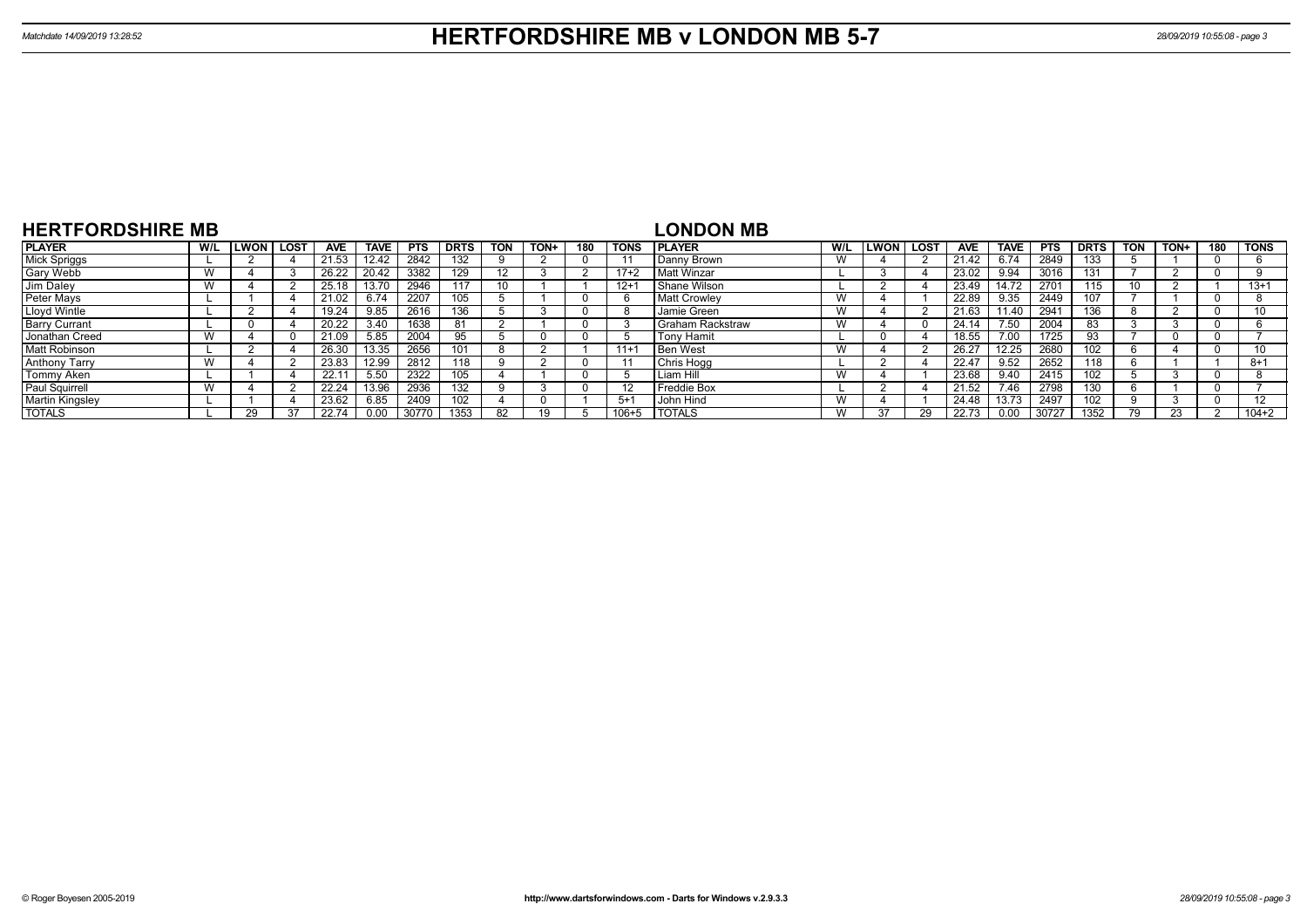| <b>HERTFORDSHIRE MB</b> |     |              |             |       |             |            |             |            |      |     |             | <b>LONDON MB</b>        |     |                    |            |             |                  |             |            |      |     |             |
|-------------------------|-----|--------------|-------------|-------|-------------|------------|-------------|------------|------|-----|-------------|-------------------------|-----|--------------------|------------|-------------|------------------|-------------|------------|------|-----|-------------|
| <b>PLAYER</b>           | W/L | <b>ILWON</b> | <b>LOST</b> | AVE   | <b>TAVE</b> | <b>PTS</b> | <b>DRTS</b> | <b>TON</b> | TON+ | 180 | <b>TONS</b> | <b>PLAYER</b>           | W/L | <b>LWON   LOST</b> | <b>AVE</b> | <b>TAVE</b> | <b>PTS</b>       | <b>DRTS</b> | <b>TON</b> | TON+ | 180 | <b>TONS</b> |
| <b>Mick Spriggs</b>     |     |              |             | 21.53 | 12.42       | 2842       | 132         |            |      |     |             | Danny Brown             | W   |                    | 21.42      | 6.74        | 2849             | 133         |            |      |     |             |
| Gary Webb               |     |              |             | 26.22 | 20.42       | 3382       | 129         | 12         |      |     | $17+2$      | Matt Winzar             |     |                    | 23.02      | 9.94        | 3016             | 131         |            |      |     |             |
| Jim Daley               |     |              |             | 25.18 | 13.70       | 2946       |             |            |      |     | $12+7$      | Shane Wilson            |     |                    | 23.49      | 14.72       | $\overline{270}$ | 115         |            |      |     | $13+1$      |
| Peter Mays              |     |              |             | 21.02 | 6.74        | 2207       | 105         |            |      |     |             | <b>Matt Crowley</b>     | W   |                    | 22.89      | 9.35        | 2449             | 107         |            |      |     |             |
| Lloyd Wintle            |     |              |             | 19.24 | 9.85        | 2616       | 136         |            |      |     |             | Jamie Green             | W   |                    | 21.63      | 1.40        | 294              | 136         |            |      |     | 10          |
| <b>Barry Currant</b>    |     |              |             | 20.22 | 3.40        | 1638       | 81          |            |      |     |             | <b>Graham Rackstraw</b> | W   |                    | 24.14      | 7.50        | 2004             | 83          |            |      |     |             |
| Jonathan Creed          |     |              |             | 21.09 | 5.85        | 2004       | 95          |            |      |     |             | <b>Tony Hamit</b>       |     |                    | 18.55      | .00         | 1725             | 93          |            |      |     |             |
| <b>Matt Robinson</b>    |     |              |             | 26.30 | 13.35       | 2656       | 101         |            |      |     | $11+1$      | l Ben West              | W   |                    | 26.27      | 12.25       | 2680             | 102         |            |      |     | 10          |
| <b>Anthony Tarry</b>    |     |              |             | 23.83 | 12.99       | 2812       | 118         |            |      |     |             | Chris Hogg              |     |                    | 22.47      | 9.52        | 2652             | 118         |            |      |     | 8+1         |
| Tommy Aken              |     |              |             | 22.11 | 5.50        | 2322       | 105         |            |      |     |             | Liam Hill               | W   |                    | 23.68      | 9.40        | 2415             | 102         |            |      |     |             |
| Paul Squirrell          |     |              |             | 22.24 | 13.96       | 2936       | 132         |            |      |     |             | Freddie Box             |     |                    | 21.52      | 7.46        | 2798             | 130         |            |      |     |             |
| <b>Martin Kingsley</b>  |     |              |             | 23.62 | 6.85        | 2409       | 102         |            |      |     | $5+1$       | John Hind               | W   |                    | 24.48      | 13.73       | 2497             | 102         |            |      |     | 12          |
| <b>TOTALS</b>           |     | 29           |             | 22.74 | 0.00        | 30770      | 1353        |            | 10.  |     | 106+5       | <b>TOTALS</b>           | W   |                    | 22.73      | 0.00        | 30727            | 1352        | 70         | 23   |     | $104 + 2$   |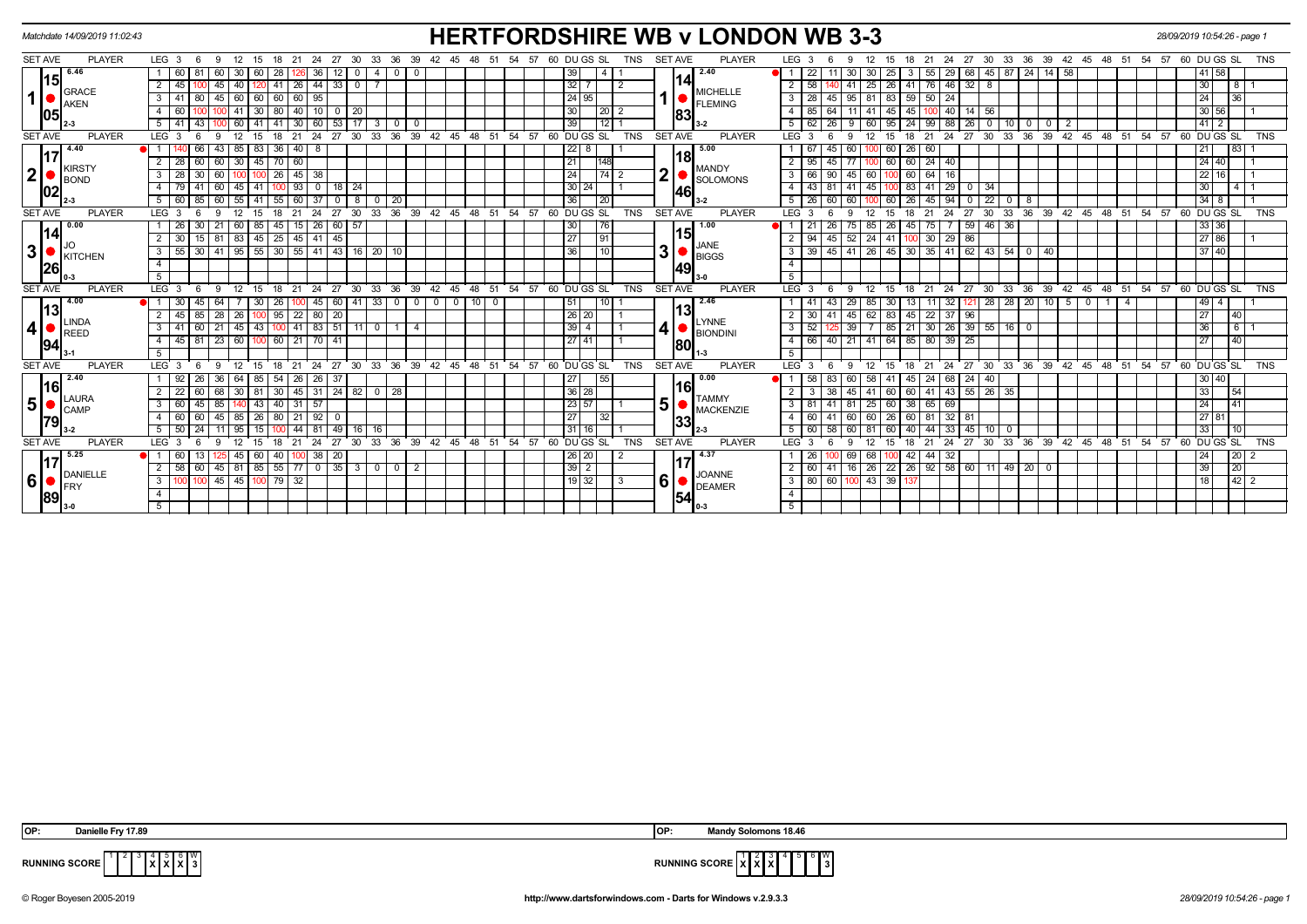| Matchdate 14/09/2019 11:02:43        |                                                                                                                                | <b>HERTFORDSHIRE WB v LONDON WB 3-3</b>                                                                      |                                                                                                                                                                                                                              | 28/09/2019 10:54:26 - page 1                 |
|--------------------------------------|--------------------------------------------------------------------------------------------------------------------------------|--------------------------------------------------------------------------------------------------------------|------------------------------------------------------------------------------------------------------------------------------------------------------------------------------------------------------------------------------|----------------------------------------------|
| <b>SET AVE</b><br><b>PLAYER</b>      | LEG $3 \quad 6$<br>21<br>27<br>30<br>33<br>36<br>39<br>- 9<br>12<br>-15<br>24                                                  | 60 DU GS SL<br><b>SET AVE</b><br><b>PLAYER</b><br>TNS<br>-57<br>45                                           | LEG <sub>3</sub><br>36<br>-24<br>27<br>30<br>33<br>39<br>42<br>51<br>-21<br>-45<br>48                                                                                                                                        | 57 60 DU GS SL<br><b>TNS</b><br>-54          |
| $15$ <sup>6.46</sup><br><b>GRACE</b> | 60<br>60<br>30<br>28<br>60<br>4<br>$\mathbf{0}$<br>$33007$<br>41   26   44  <br>45<br>40   120<br>$\overline{2}$<br>45         | 2.40<br>39<br>141<br>$32 \mid 7$<br>$\overline{2}$<br><b>MICHELLE</b>                                        | 29<br>$\overline{1}$<br>30<br>55<br>68   45   87   24   14   58<br>$25 \mid 26 \mid 41 \mid$<br>  76   46   32   8<br>58<br>$\overline{2}$<br>41                                                                             | 41 58<br>$\sqrt{8}$<br>30 <sub>o</sub>       |
| $\mathbf{1}$<br><b>AKEN</b><br>105   | 45 60 60 60 60 95<br>3 I<br>80<br>-41<br> 30 80 <br>$40$ 10 0<br>60<br>41<br>20<br>1001<br>53<br>$60$ 41<br>41<br>$30 \mid 60$ | 24 95<br><b>FLEMING</b><br>30<br>$\sqrt{20}$ 2<br>83<br>39                                                   | $95 \mid 81 \mid 83 \mid 59 \mid 50 \mid 24$<br>3 <sup>1</sup><br>28<br> 45 <br>$85 \mid 64$<br>$41 \overline{45}$<br>45<br>$100$ 40 $14$ 56<br>$\overline{4}$<br>11 <sup>1</sup><br>88 26<br>99<br>$\overline{\phantom{0}}$ | 24<br>36<br>30 56<br>$41$ 2                  |
| <b>SET AVE</b><br><b>PLAYER</b>      | 5<br>30<br>$\mathbf 0$<br>LEG <sub>3</sub><br>24<br>27<br>$33^\circ$<br>36<br>39<br>9<br>12<br>18<br>21<br>30<br>- 6<br>- 15   | 12  <br>54 57 60 DUGS SL<br><b>TNS</b><br>$42 \quad 45 \quad 48 \quad 51$<br><b>SET AVE</b><br><b>PLAYER</b> | 95<br>24<br>10 I<br>$0 \mid 2$<br>$\mathbf 0$<br>່ 36<br>LEG <sup>'</sup><br>12<br>$^{\circ}$ 24<br>27<br>30<br>$33^\circ$<br>39 42 45<br>-3<br>-9<br>15<br>18<br>21                                                         | 48 51 54 57 60 DUGS SL<br><b>TNS</b>         |
| 4.40                                 | $40$ 8<br>43 I<br>36<br>85   83                                                                                                | 22 <br>5.00<br>8                                                                                             | 26 60<br>60<br>60<br>45                                                                                                                                                                                                      | 21<br> 83                                    |
| 17<br><b>KIRSTY</b>                  | $\overline{70}$<br>60<br>$\overline{2}$<br>30   45<br>60<br>28                                                                 | 18l<br>21<br>148<br><b>MANDY</b>                                                                             | $\overline{2}$<br>60<br>$24 \mid 40$<br>60<br>45                                                                                                                                                                             | $24 \overline{40}$                           |
| $\mathbf{2}$<br><b>BOND</b>          | 26<br>28<br>60<br>$45 \mid 38$<br>3 <sup>1</sup><br>$41 \mid 60 \mid$<br>$93$ 0 18 24<br>4 79<br>$45 \mid 41$<br>100           | $\overline{\mathbf{2}}$<br>24<br><b>SOLOMONS</b><br>$30 24$                                                  | $\overline{\mathbf{3}}$<br>66<br>45<br>60<br>100 60<br> 64 <br>16<br>90<br>$\overline{4}$<br>$45 \mid 100 \mid 83 \mid 41 \mid 29 \mid 0$<br>43 81<br>41<br>34                                                               | $22$ 16<br>30 <sub>o</sub><br>4 <sup>1</sup> |
| 102                                  | 55 41 55 60 37<br>5 60 85 60<br>$\overline{0}$<br>8 0 20                                                                       | 46 <br>36<br>1201<br>$3 - 2$                                                                                 | 5 <sup>7</sup><br>100 60 26 45 94<br>$\sqrt{22}$<br>26 60<br>60<br>$\Omega$<br>$\overline{0}$<br>-8                                                                                                                          | $34$ $8$                                     |
| <b>SET AVE</b><br><b>PLAYER</b>      | 24<br>27<br>30<br>33<br>LEG <sub>3</sub><br>21                                                                                 | 36 39 42 45 48 51 54 57<br><b>TNS</b><br><b>SET AVE</b><br><b>PLAYER</b><br>60 DU GS SL                      | 27<br>30<br>33 36 39 42 45 48 51 54 57<br>LEG <sub>3</sub><br>21<br>24                                                                                                                                                       | 60 DU GS SL<br><b>TNS</b>                    |
| $\sqrt{0.00}$                        | 45<br>$\overline{26}$<br>60<br>57<br>-26<br>21<br>60   85<br>15                                                                | 30<br>1.00<br>76                                                                                             | $59$   46   36<br>26<br>45<br>-21<br>-26<br>85<br>75 I<br>75                                                                                                                                                                 | 33 36                                        |
| 14                                   | 81   83   45   25   45   41   45<br>$\overline{2}$<br>15                                                                       | 15<br>27<br>l 91                                                                                             | $29$ 86<br>$\overline{2}$<br>94<br>$52$ 24 41<br>$100$ 30<br>45                                                                                                                                                              | 27 86                                        |
| 3 <sup>1</sup><br>KITCHEN            | 41   95   55   30   55   41   43   16   20   10<br>55<br>3<br>-30 I                                                            | JANE<br>3 <sup>1</sup><br>36<br>10<br><b>BIGGS</b>                                                           | $\mathbf{3}$<br>26 45 30 35 41 62 43 54 0<br>39   45  <br>41<br>l 40                                                                                                                                                         | 37 40                                        |
| 26                                   | $\overline{4}$                                                                                                                 | 49                                                                                                           | $\overline{4}$                                                                                                                                                                                                               |                                              |
|                                      | 5                                                                                                                              |                                                                                                              | 5                                                                                                                                                                                                                            |                                              |
| <b>PLAYER</b><br><b>SET AVE</b>      | LEG <sub>3</sub><br>33<br>36<br>39<br>21<br>24<br>27<br>30<br>12<br>15<br>18                                                   | ີ 42<br>48<br>54<br>57<br>$60$ DU GS SL<br><b>TNS</b><br><b>SET AVE</b><br><b>PLAYER</b><br>45<br>່ 51       | LEG <sup>'</sup><br>30<br>$33^\circ$<br>່ 36<br>39 42<br>45<br>$^{\circ}$ 24<br>27<br>18<br>21<br>-9                                                                                                                         | 48 51 54 57 60 DUGS SL<br><b>TNS</b>         |
| 4.00 <br> 13                         | $41$ 33<br>64<br>26<br>45<br>60<br>$\mathbf 0$                                                                                 | 2.46<br>51<br>$0$ 0 0<br>10 I<br>10 I<br>$\mathbf{0}$<br>13 <sup>l</sup>                                     | $28$   28   20   10   5<br>29<br>32<br>$^{\circ}$<br>-4<br>1 I                                                                                                                                                               | 49<br>4                                      |
| <b>LINDA</b>                         | 28<br>95<br>20<br>26<br>$22 \mid 80$<br>$\overline{2}$<br>45                                                                   | $\sqrt{26}$ 20<br><b>LYNNE</b>                                                                               | 45<br>$\overline{83}$<br>45<br>$22 \mid 37 \mid 96$<br>$\overline{2}$<br>62<br>30<br>41                                                                                                                                      | 27<br>40                                     |
| 4<br><b>REED</b>                     | 51<br>21<br>$\sqrt{45}$ 43<br>$41 \mid 83$<br>100<br>$11$ 0<br>3 <sup>1</sup><br>$\overline{4}$                                | 4<br>$39$ 4<br><b>BIONDINI</b>                                                                               | $30 \mid 26 \mid 39 \mid 55 \mid$<br>39<br>$85$ 21<br>3<br>52<br>16<br>$^{\circ}$                                                                                                                                            | 36<br>$6 \mid$                               |
| 94                                   | 23<br>$60$   21   70<br>45<br>60 100<br>41<br>4<br>81                                                                          | 27141<br> 80                                                                                                 | 21<br>41 64 85<br>80 39 25<br>$\overline{4}$<br>66 40                                                                                                                                                                        | 27<br>40                                     |
|                                      | -5                                                                                                                             |                                                                                                              | -5                                                                                                                                                                                                                           |                                              |
| <b>PLAYER</b><br><b>SET AVE</b>      | 24<br>27 30<br>LEG <sub>3</sub><br>12<br>18<br>21<br><b>6</b><br>9<br>15                                                       | 33 36 39 42 45 48 51<br>54<br>57<br>60 DU GS SL<br><b>TNS</b><br><b>SET AVE</b><br><b>PLAYER</b>             | 30 33 36 39 42 45<br>48 51 54<br>LEG <sup>'</sup><br>$\cdot$ 24<br>27<br>12<br>18<br>21<br>-3<br>Q<br>15                                                                                                                     | $5760$ DU GS SL<br>TNS                       |
| 2.40<br> 16                          | 54<br>$26$ 26<br>92<br>36 I<br>- 64<br>37<br>26<br>l 85                                                                        | 27<br>0.00<br>  55<br>16                                                                                     | 58 41 45 24 68 24 40<br>-58<br>83<br>60                                                                                                                                                                                      | 30 40                                        |
| <b>LAURA</b>                         | 45 31 24 82 0 28<br>68<br>30<br>30   81<br>-22                                                                                 | 36 28<br><b>TAMMY</b>                                                                                        | $41 \mid 60 \mid 60 \mid 41 \mid 43 \mid 55 \mid 26 \mid 35$<br>$\overline{2}$<br>45<br>38                                                                                                                                   | 33<br>154                                    |
| 5 <br><b>CAMP</b>                    | 85<br>40<br>$31 \mid 57$<br>$ 3 $ 43<br>3 I<br>60<br>45                                                                        | 5 <sup>1</sup><br>23 57<br><b>MACKENZIE</b>                                                                  | $\overline{3}$<br>25 60 38 65 69<br>$81 \mid 41$<br>81                                                                                                                                                                       | 24                                           |
| 79                                   | $4 \overline{60}$<br>45<br>$85 \mid 26$<br> 80 <br>$21 \mid 92 \mid$<br>$^{\circ}$                                             | 27<br>32<br>33                                                                                               | 81 32 81<br>$\overline{4}$<br>60 41<br>60<br>60 26 60                                                                                                                                                                        | 27 81                                        |
|                                      | $5 \ 50 \ 24$<br>49<br>11 I<br>95<br>l 15<br>44   81  <br>16   16                                                              | 31116                                                                                                        | 5<br>$\overline{58}$<br>60<br>40<br>44 33 45 10<br>60 l<br>60 I<br>$\Omega$<br>-81                                                                                                                                           | 33<br>l 10                                   |
| <b>SET AVE</b><br><b>PLAYER</b>      | LEG <sub>3</sub><br>24<br>27<br>30<br>33 <sup>°</sup><br>12<br>21                                                              | 36 39 42 45 48<br><b>SET AVE</b><br><b>PLAYER</b><br>54 57<br>60 DU GS SL<br><b>TNS</b><br>- 51              | 30 33 36 39 42 45 48 51<br>LEG 3<br>24<br>27<br>18<br>21                                                                                                                                                                     | 60 DU GS SL<br>ີ 54<br>57<br><b>TNS</b>      |
| 5.25<br>17                           | 20<br>40 100 38<br>$\bullet$ 1 60<br>45<br>I 60 I<br>13                                                                        | 4.37<br>26 20<br>-2                                                                                          | 68 100 42 44 32<br>69<br><b>26</b>                                                                                                                                                                                           | 20 <br>24                                    |
| DANIELLE                             | $45 \mid 81 \mid 85 \mid 55 \mid 77 \mid 0 \mid 35 \mid 3 \mid 0 \mid 0 \mid 2$<br>58<br>$\overline{2}$<br>  60                | $39$ $2$                                                                                                     |                                                                                                                                                                                                                              | 39<br>20                                     |
| 6 <br><b>FRY</b>                     | 45 45 100 79 32<br>$\mathbf{3}$                                                                                                | <b>JOANNE</b><br>6 <sup>1</sup><br>$19$ 32<br>-3<br><b>DEAMER</b>                                            | 3 <sup>1</sup><br>80 60 100 43 39 137                                                                                                                                                                                        | 18<br>$42 \mid 2$                            |
| 89                                   | $\overline{4}$                                                                                                                 | 54                                                                                                           | $\overline{4}$                                                                                                                                                                                                               |                                              |
|                                      | 5                                                                                                                              |                                                                                                              | 5                                                                                                                                                                                                                            |                                              |
|                                      |                                                                                                                                |                                                                                                              |                                                                                                                                                                                                                              |                                              |

| <b>OP</b>            | $-4700$        | <b>OF</b>         | olomons 18.4F<br>Man |
|----------------------|----------------|-------------------|----------------------|
| <b>RUNNING SCORE</b> | $\blacksquare$ | <br>KUNNING SUUKL | SOR<br>3 I           |